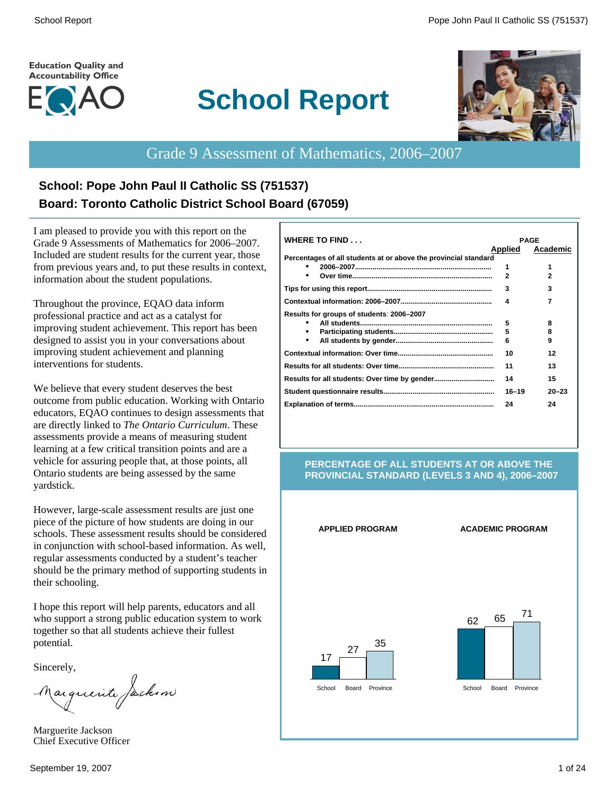#### **Education Quality and Accountability Office**



# **School Report**



# Grade 9 Assessment of Mathematics, 2006–2007

# **School: Pope John Paul II Catholic SS (751537) Board: Toronto Catholic District School Board (67059)**

I am pleased to provide you with this report on the Grade 9 Assessments of Mathematics for 2006–2007. Included are student results for the current year, those from previous years and, to put these results in context, information about the student populations.

Throughout the province, EQAO data inform professional practice and act as a catalyst for improving student achievement. This report has been designed to assist you in your conversations about improving student achievement and planning interventions for students.

We believe that every student deserves the best outcome from public education. Working with Ontario educators, EQAO continues to design assessments that are directly linked to *The Ontario Curriculum*. These assessments provide a means of measuring student learning at a few critical transition points and are a vehicle for assuring people that, at those points, all Ontario students are being assessed by the same yardstick.

However, large-scale assessment results are just one piece of the picture of how students are doing in our schools. These assessment results should be considered in conjunction with school-based information. As well, regular assessments conducted by a student's teacher should be the primary method of supporting students in their schooling.

I hope this report will help parents, educators and all who support a strong public education system to work together so that all students achieve their fullest potential.

Sincerely,

Marguerite Jackson

Marguerite Jackson Chief Executive Officer

| WHERE TO FIND                                                   | <b>PAGE</b>    |           |
|-----------------------------------------------------------------|----------------|-----------|
|                                                                 | <b>Applied</b> | Academic  |
| Percentages of all students at or above the provincial standard |                |           |
|                                                                 | 1              |           |
|                                                                 | $\mathbf{2}$   |           |
|                                                                 | 3              | 3         |
|                                                                 | 4              | 7         |
| Results for groups of students: 2006–2007                       |                |           |
|                                                                 | 5              | 8         |
|                                                                 | 5              | 8         |
| ٠                                                               | 6              | 9         |
|                                                                 | 10             | 12        |
|                                                                 | 11             | 13        |
|                                                                 | 14             | 15        |
|                                                                 | $16 - 19$      | $20 - 23$ |
|                                                                 | 24             | 24        |

#### **PERCENTAGE OF ALL STUDENTS AT OR ABOVE THE PROVINCIAL STANDARD (LEVELS 3 AND 4), 2006–2007**

#### **APPLIED PROGRAM ACADEMIC PROGRAM**



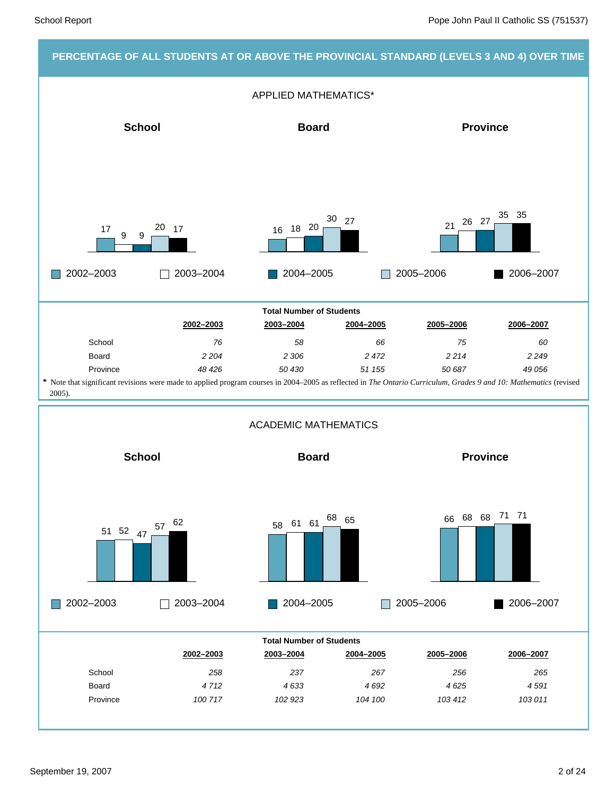#### **PERCENTAGE OF ALL STUDENTS AT OR ABOVE THE PROVINCIAL STANDARD (LEVELS 3 AND 4) OVER TIME**

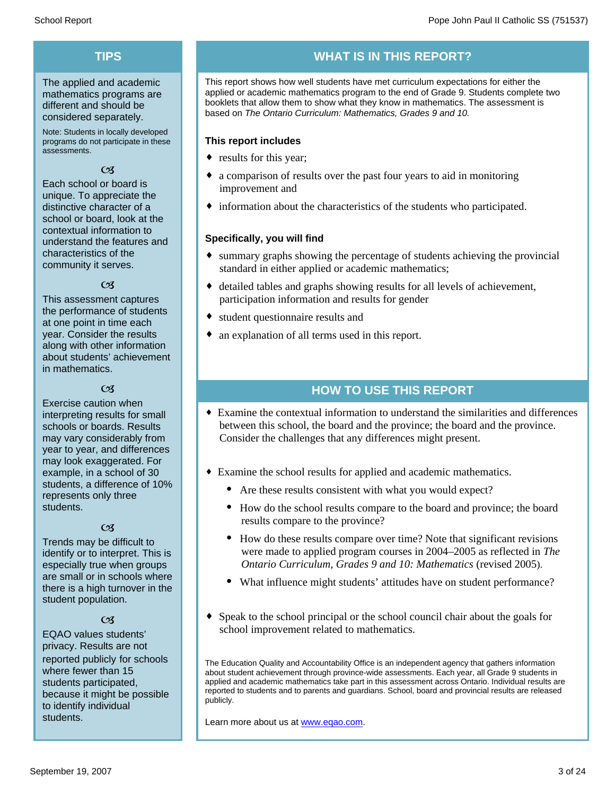# **TIPS**

The applied and academic mathematics programs are different and should be considered separately.

Note: Students in locally developed programs do not participate in these assessments.

#### $\mathfrak{C}$

Each school or board is unique. To appreciate the distinctive character of a school or board, look at the contextual information to understand the features and characteristics of the community it serves.

#### $\alpha$

This assessment captures the performance of students at one point in time each year. Consider the results along with other information about students' achievement in mathematics.

#### $\alpha$

Exercise caution when interpreting results for small schools or boards. Results may vary considerably from year to year, and differences may look exaggerated. For example, in a school of 30 students, a difference of 10% represents only three students.

#### $\mathfrak{C}$

Trends may be difficult to identify or to interpret. This is especially true when groups are small or in schools where there is a high turnover in the student population.

#### $C<sub>3</sub>$

EQAO values students' privacy. Results are not reported publicly for schools where fewer than 15 students participated, because it might be possible to identify individual students.

# **WHAT IS IN THIS REPORT?**

This report shows how well students have met curriculum expectations for either the applied or academic mathematics program to the end of Grade 9. Students complete two booklets that allow them to show what they know in mathematics. The assessment is based on *The Ontario Curriculum: Mathematics, Grades 9 and 10.*

#### **This report includes**

- results for this year;
- a comparison of results over the past four years to aid in monitoring improvement and
- $\bullet$  information about the characteristics of the students who participated.

#### **Specifically, you will find**

- $\bullet$  summary graphs showing the percentage of students achieving the provincial standard in either applied or academic mathematics;
- $\bullet$  detailed tables and graphs showing results for all levels of achievement, participation information and results for gender
- student questionnaire results and
- $\bullet$  an explanation of all terms used in this report.

### **HOW TO USE THIS REPORT**

- ¨ Examine the contextual information to understand the similarities and differences between this school, the board and the province; the board and the province. Consider the challenges that any differences might present.
- Examine the school results for applied and academic mathematics.
	- Are these results consistent with what you would expect?
	- · How do the school results compare to the board and province; the board results compare to the province?
	- · How do these results compare over time? Note that significant revisions were made to applied program courses in 2004–2005 as reflected in *The Ontario Curriculum, Grades 9 and 10: Mathematics* (revised 2005).
	- What influence might students' attitudes have on student performance?
- Speak to the school principal or the school council chair about the goals for school improvement related to mathematics.

The Education Quality and Accountability Office is an independent agency that gathers information about student achievement through province-wide assessments. Each year, all Grade 9 students in applied and academic mathematics take part in this assessment across Ontario. Individual results are reported to students and to parents and guardians. School, board and provincial results are released publicly.

Learn more about us at www.eqao.com.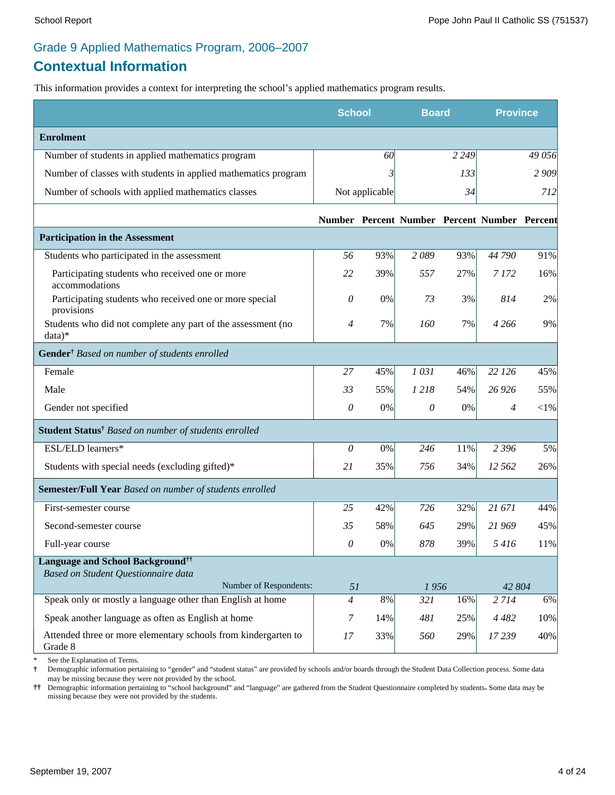### Grade 9 Applied Mathematics Program, 2006–2007

### **Contextual Information**

This information provides a context for interpreting the school's applied mathematics program results.

|                                                                                            | <b>School</b>  |                | <b>Board</b>                                 |         | <b>Province</b> |          |
|--------------------------------------------------------------------------------------------|----------------|----------------|----------------------------------------------|---------|-----------------|----------|
| <b>Enrolment</b>                                                                           |                |                |                                              |         |                 |          |
| Number of students in applied mathematics program                                          |                | 60             |                                              | 2 2 4 9 |                 | 49 056   |
| Number of classes with students in applied mathematics program                             |                | 3              |                                              | 133     |                 | 2 9 0 9  |
| Number of schools with applied mathematics classes                                         |                | Not applicable |                                              | 34      |                 | 712      |
|                                                                                            |                |                | Number Percent Number Percent Number Percent |         |                 |          |
| <b>Participation in the Assessment</b>                                                     |                |                |                                              |         |                 |          |
| Students who participated in the assessment                                                | 56             | 93%            | 2089                                         | 93%     | 44 790          | 91%      |
| Participating students who received one or more<br>accommodations                          | 22             | 39%            | 557                                          | 27%     | 7 1 7 2         | 16%      |
| Participating students who received one or more special<br>provisions                      | 0              | 0%             | 73                                           | 3%      | 814             | 2%       |
| Students who did not complete any part of the assessment (no<br>$data)*$                   | $\overline{4}$ | 7%             | 160                                          | 7%      | 4 2 6 6         | 9%       |
| Gender <sup>†</sup> Based on number of students enrolled                                   |                |                |                                              |         |                 |          |
| Female                                                                                     | 27             | 45%            | 1031                                         | 46%     | 22 126          | 45%      |
| Male                                                                                       | 33             | 55%            | 1218                                         | 54%     | 26 9 26         | 55%      |
| Gender not specified                                                                       | 0              | 0%             | 0                                            | 0%      | $\overline{4}$  | ${<}1\%$ |
| Student Status <sup>†</sup> Based on number of students enrolled                           |                |                |                                              |         |                 |          |
| ESL/ELD learners*                                                                          | $\theta$       | 0%             | 246                                          | 11%     | 2 3 9 6         | 5%       |
| Students with special needs (excluding gifted)*                                            | 21             | 35%            | 756                                          | 34%     | 12 562          | 26%      |
| Semester/Full Year Based on number of students enrolled                                    |                |                |                                              |         |                 |          |
| First-semester course                                                                      | 25             | 42%            | 726                                          | 32%     | 21 671          | 44%      |
| Second-semester course                                                                     | 35             | 58%            | 645                                          | 29%     | 21 969          | 45%      |
| Full-year course                                                                           | 0              | 0%             | 878                                          | 39%     | 5416            | 11%      |
| <b>Language and School Background</b> <sup>††</sup><br>Based on Student Questionnaire data |                |                |                                              |         |                 |          |
| Number of Respondents:                                                                     | 51             |                | 1956                                         |         | 42 804          |          |
| Speak only or mostly a language other than English at home                                 | $\overline{4}$ | 8%             | 321                                          | 16%     | 2 7 1 4         | 6%       |
| Speak another language as often as English at home                                         | 7              | 14%            | 481                                          | 25%     | 4 4 8 2         | 10%      |
| Attended three or more elementary schools from kindergarten to<br>Grade 8                  | 17             | 33%            | 560                                          | 29%     | 17239           | 40%      |

See the Explanation of Terms.

**†** Demographic information pertaining to "gender" and "student status" are provided by schools and/or boards through the Student Data Collection process. Some data may be missing because they were not provided by the school.

**††** Demographic information pertaining to "school background" and "language" are gathered from the Student Questionnaire completed by students**.** Some data may be missing because they were not provided by the students.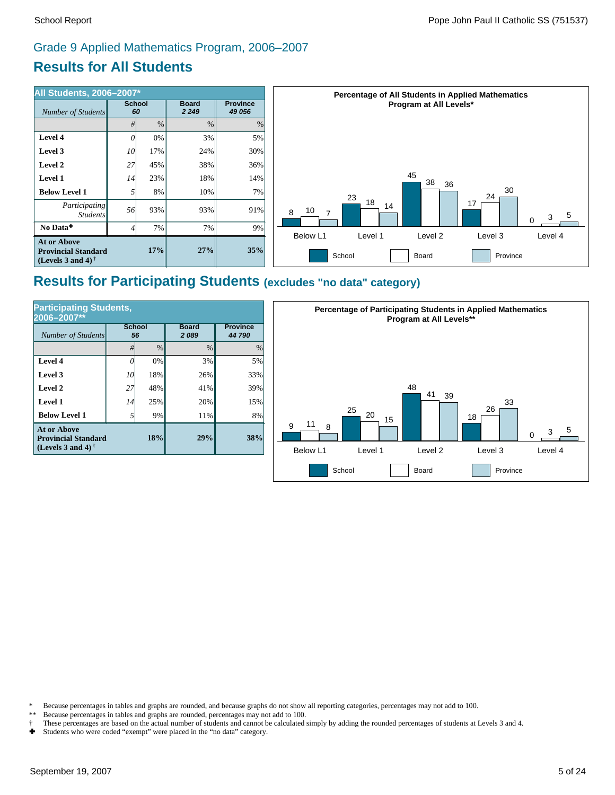# **Results for All Students** Grade 9 Applied Mathematics Program, 2006–2007



### **Results for Participating Students (excludes "no data" category)**

| <b>Participating Students,</b><br>2006-2007**                                  |                     |               |                      |                           |  |  |  |
|--------------------------------------------------------------------------------|---------------------|---------------|----------------------|---------------------------|--|--|--|
| <b>Number of Students</b>                                                      | <b>School</b><br>56 |               | <b>Board</b><br>2089 | <b>Province</b><br>44 790 |  |  |  |
|                                                                                | #                   | $\frac{0}{0}$ | $\frac{0}{0}$        | $\%$                      |  |  |  |
| Level 4                                                                        | Ω                   | 0%            | 3%                   | 5%                        |  |  |  |
| Level 3                                                                        | 10                  | 18%           | 26%                  | 33%                       |  |  |  |
| Level 2                                                                        | 27                  | 48%           | 41%                  | 39%                       |  |  |  |
| Level 1                                                                        | 14                  | 25%           | 20%                  | 15%                       |  |  |  |
| <b>Below Level 1</b>                                                           | $\overline{5}$      | 9%            | 11%                  | 8%                        |  |  |  |
| <b>At or Above</b><br><b>Provincial Standard</b><br>(Levels 3 and 4) $\dagger$ |                     | 18%           | 29%                  | 38%                       |  |  |  |



\* Because percentages in tables and graphs are rounded, and because graphs do not show all reporting categories, percentages may not add to 100.

- \*\* Because percentages in tables and graphs are rounded, percentages may not add to 100.
- † These percentages are based on the actual number of students and cannot be calculated simply by adding the rounded percentages of students at Levels 3 and 4.
- Students who were coded "exempt" were placed in the "no data" category.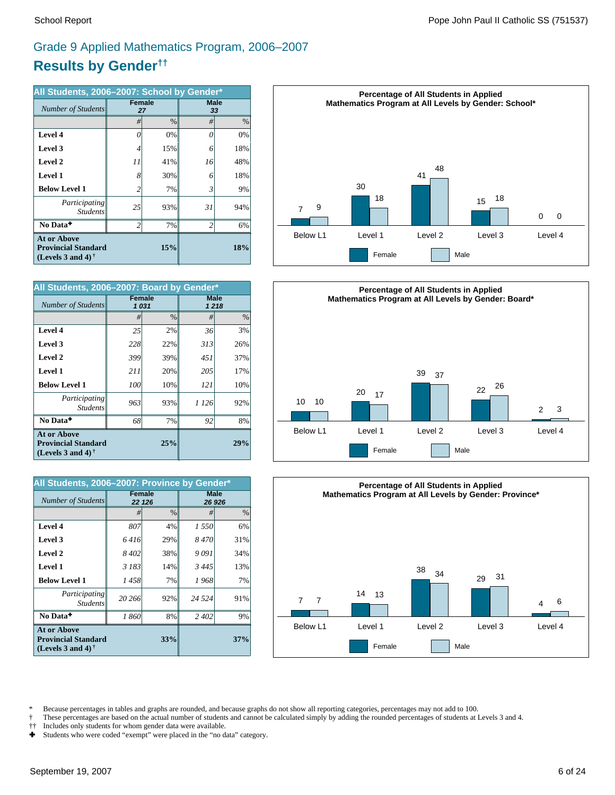# **Results by Gender††** Grade 9 Applied Mathematics Program, 2006–2007

| All Students, 2006-2007: School by Gender*                                     |                |               |                          |               |  |  |
|--------------------------------------------------------------------------------|----------------|---------------|--------------------------|---------------|--|--|
| Number of Students                                                             | <b>Female</b>  | 27            |                          | Male<br>33    |  |  |
|                                                                                | #              | $\frac{0}{0}$ | #                        | $\frac{0}{0}$ |  |  |
| Level 4                                                                        | 0              | 0%            | O                        | 0%            |  |  |
| Level 3                                                                        | 4              | 15%           | 6                        | 18%           |  |  |
| Level 2                                                                        | 11             | 41%           | 16                       | 48%           |  |  |
| Level 1                                                                        | 8              | 30%           | 6                        | 18%           |  |  |
| <b>Below Level 1</b>                                                           | 2              | 7%            | 3                        | 9%            |  |  |
| Participating<br><b>Students</b>                                               | 25             | 93%           | 31                       | 94%           |  |  |
| No Data <sup>+</sup>                                                           | $\overline{c}$ | 7%            | $\overline{\mathcal{L}}$ | 6%            |  |  |
| <b>At or Above</b><br><b>Provincial Standard</b><br>(Levels 3 and 4) $\dagger$ |                | 15%           |                          | 18%           |  |  |

| All Students, 2006-2007: Board by Gender*                                      |               |               |              |               |  |  |
|--------------------------------------------------------------------------------|---------------|---------------|--------------|---------------|--|--|
| Number of Students                                                             | <b>Female</b> | 1031          | Male<br>1218 |               |  |  |
|                                                                                | #             | $\frac{0}{0}$ | #            | $\frac{0}{0}$ |  |  |
| Level 4                                                                        | 25            | 2%            | 36           | 3%            |  |  |
| Level 3                                                                        | 228           | 22%           | 313          | 26%           |  |  |
| Level 2                                                                        | 399           | 39%           | 451          | 37%           |  |  |
| <b>Level 1</b>                                                                 | 211           | 20%           | 205          | 17%           |  |  |
| <b>Below Level 1</b>                                                           | 100           | 10%           | 121          | 10%           |  |  |
| Participating<br><b>Students</b>                                               | 963           | 93%           | 1 1 2 6      | 92%           |  |  |
| No Data <sup>+</sup>                                                           | 68            | 7%            | 92           | 8%            |  |  |
| <b>At or Above</b><br><b>Provincial Standard</b><br>(Levels 3 and 4) $\dagger$ |               | 29%           |              |               |  |  |

| All Students, 2006-2007: Province by Gender*                                   |         |                         |                       |      |  |  |
|--------------------------------------------------------------------------------|---------|-------------------------|-----------------------|------|--|--|
| Number of Students                                                             |         | <b>Female</b><br>22 126 | <b>Male</b><br>26 926 |      |  |  |
|                                                                                | #       | $\frac{0}{0}$           | #                     | $\%$ |  |  |
| Level 4                                                                        | 807     | 4%                      | 1 550                 | 6%   |  |  |
| Level 3                                                                        | 6416    | 29%                     | 8470                  | 31%  |  |  |
| Level 2                                                                        | 8 4 0 2 | 38%                     | 9091                  | 34%  |  |  |
| <b>Level 1</b>                                                                 | 3 183   | 14%                     | 3445                  | 13%  |  |  |
| <b>Below Level 1</b>                                                           | 1458    | 7%                      | 1968                  | 7%   |  |  |
| Participating<br><b>Students</b>                                               | 20 26 6 | 92%                     | 24 5 24               | 91%  |  |  |
| No Data <sup>+</sup>                                                           | 1860    | 8%                      | 2 4 0 2               | 9%   |  |  |
| <b>At or Above</b><br><b>Provincial Standard</b><br>(Levels 3 and 4) $\dagger$ |         | 37%                     |                       |      |  |  |







\* Because percentages in tables and graphs are rounded, and because graphs do not show all reporting categories, percentages may not add to 100.<br>These percentages are based on the actual number of students and cannot be ca

- † These percentages are based on the actual number of students and cannot be calculated simply by adding the rounded percentages of students at Levels 3 and 4.
- †† Includes only students for whom gender data were available.<br>► Students who were coded "exempt" were placed in the "no d
- Students who were coded "exempt" were placed in the "no data" category.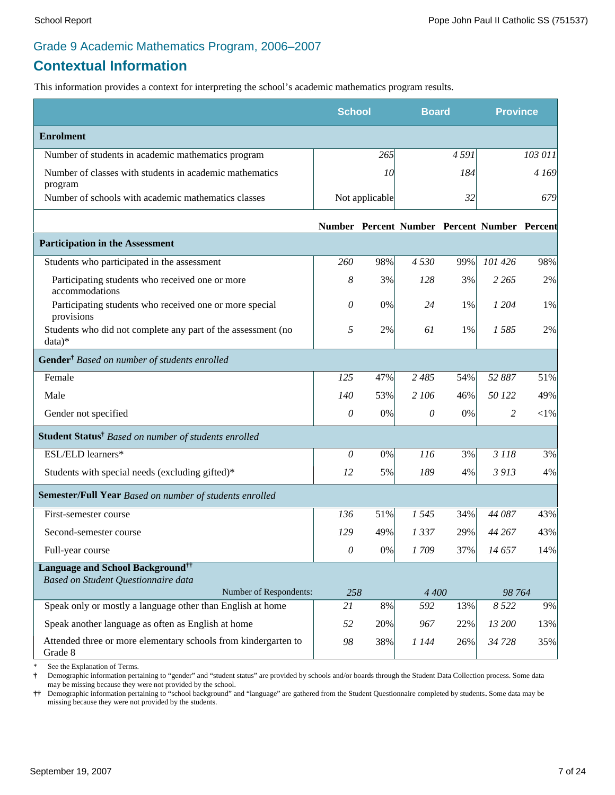### Grade 9 Academic Mathematics Program, 2006–2007

## **Contextual Information**

This information provides a context for interpreting the school's academic mathematics program results.

|                                                                                     | <b>School</b>   |                | <b>Board</b>                                 |      | <b>Province</b> |           |
|-------------------------------------------------------------------------------------|-----------------|----------------|----------------------------------------------|------|-----------------|-----------|
| <b>Enrolment</b>                                                                    |                 |                |                                              |      |                 |           |
| Number of students in academic mathematics program                                  |                 | 265            |                                              | 4591 |                 | 103 011   |
| Number of classes with students in academic mathematics<br>program                  |                 | 10             |                                              | 184  |                 | 4 169     |
| Number of schools with academic mathematics classes                                 |                 | Not applicable |                                              | 32   |                 | 679       |
|                                                                                     |                 |                | Number Percent Number Percent Number Percent |      |                 |           |
| <b>Participation in the Assessment</b>                                              |                 |                |                                              |      |                 |           |
| Students who participated in the assessment                                         | 260             | 98%            | 4 5 3 0                                      | 99%  | 101 426         | 98%       |
| Participating students who received one or more<br>accommodations                   | 8               | 3%             | 128                                          | 3%   | 2 2 6 5         | 2%        |
| Participating students who received one or more special<br>provisions               | 0               | 0%             | 24                                           | 1%   | 1 204           | 1%        |
| Students who did not complete any part of the assessment (no<br>data)*              | 5               | 2%             | 61                                           | 1%   | 1585            | 2%        |
| Gender <sup>†</sup> Based on number of students enrolled                            |                 |                |                                              |      |                 |           |
| Female                                                                              | 125             | 47%            | 2 4 8 5                                      | 54%  | 52 887          | 51%       |
| Male                                                                                | 140             | 53%            | 2 106                                        | 46%  | 50 122          | 49%       |
| Gender not specified                                                                | 0               | 0%             | $\theta$                                     | 0%   | 2               | $<$ l $%$ |
| Student Status <sup>†</sup> Based on number of students enrolled                    |                 |                |                                              |      |                 |           |
| ESL/ELD learners*                                                                   | 0               | 0%             | 116                                          | 3%   | 3 1 1 8         | 3%        |
| Students with special needs (excluding gifted)*                                     | 12              | 5%             | 189                                          | 4%   | 3 913           | 4%        |
| Semester/Full Year Based on number of students enrolled                             |                 |                |                                              |      |                 |           |
| First-semester course                                                               | 136             | 51%            | 1545                                         | 34%  | 44 087          | 43%       |
| Second-semester course                                                              | 129             | 49%            | 1337                                         | 29%  | 44 267          | 43%       |
| Full-year course                                                                    | $\mathcal O$    | $0\%$          | 1709                                         | 37%  | 14 657          | 14%       |
| Language and School Background <sup>††</sup><br>Based on Student Questionnaire data |                 |                |                                              |      |                 |           |
| Number of Respondents:                                                              | 258             |                | 4 4 0 0                                      |      | 98 764          |           |
| Speak only or mostly a language other than English at home                          | $\overline{2I}$ | 8%             | 592                                          | 13%  | 8 5 22          | 9%        |
| Speak another language as often as English at home                                  | 52              | 20%            | 967                                          | 22%  | 13 200          | 13%       |
| Attended three or more elementary schools from kindergarten to<br>Grade 8           | 98              | 38%            | 1 144                                        | 26%  | 34 728          | 35%       |

See the Explanation of Terms.

**†** Demographic information pertaining to "gender" and "student status" are provided by schools and/or boards through the Student Data Collection process. Some data may be missing because they were not provided by the school.

**††** Demographic information pertaining to "school background" and "language" are gathered from the Student Questionnaire completed by students**.** Some data may be missing because they were not provided by the students.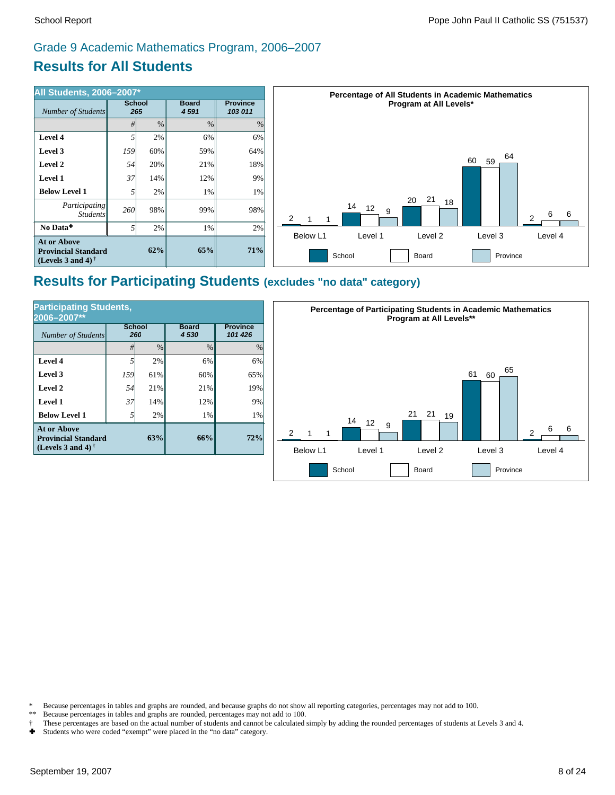# Grade 9 Academic Mathematics Program, 2006–2007

# **Results for All Students**

| <b>All Students, 2006-2007*</b>                                          |                      |     |                         |                            | <b>Percentage of All Students in Academic Mathematics</b>                           |  |  |  |
|--------------------------------------------------------------------------|----------------------|-----|-------------------------|----------------------------|-------------------------------------------------------------------------------------|--|--|--|
| Number of Students                                                       | <b>School</b><br>265 |     | <b>Board</b><br>4 5 9 1 | <b>Province</b><br>103 011 | Program at All Levels*                                                              |  |  |  |
|                                                                          | #                    | %   | %                       | $\%$                       |                                                                                     |  |  |  |
| Level 4                                                                  |                      | 2%  | 6%                      | 6%                         |                                                                                     |  |  |  |
| Level 3                                                                  | <b>159</b>           | 60% | 59%                     | 64%                        | 64                                                                                  |  |  |  |
| Level 2                                                                  | 54                   | 20% | 21%                     | 18%                        | 60<br>59                                                                            |  |  |  |
| Level 1                                                                  | 37                   | 14% | 12%                     | 9%                         |                                                                                     |  |  |  |
| <b>Below Level 1</b>                                                     |                      | 2%  | $1\%$                   | 1%                         |                                                                                     |  |  |  |
| Participating<br><i>Students</i>                                         | <b>260</b>           | 98% | 99%                     | 98%                        | 21<br>20<br>18<br>14<br>12<br>9<br>6<br>6<br>2<br>っ                                 |  |  |  |
| No Data <sup>+</sup>                                                     |                      | 2%  | 1%                      | 2%                         |                                                                                     |  |  |  |
| <b>At or Above</b><br><b>Provincial Standard</b><br>(Levels 3 and 4) $†$ |                      | 62% | 65%                     | 71%                        | Below L1<br>Level 2<br>Level 3<br>Level 4<br>Level 1<br>School<br>Province<br>Board |  |  |  |

### **Results for Participating Students (excludes "no data" category)**

| <b>Participating Students,</b><br>2006-2007**                                  |                      |               |                        |                            |  |  |  |
|--------------------------------------------------------------------------------|----------------------|---------------|------------------------|----------------------------|--|--|--|
| <b>Number of Students</b>                                                      | <b>School</b><br>260 |               | <b>Board</b><br>4 5 30 | <b>Province</b><br>101 426 |  |  |  |
|                                                                                | #                    | $\frac{0}{0}$ | $\frac{0}{0}$          | $\frac{0}{0}$              |  |  |  |
| Level 4                                                                        | 5                    | 2%            | 6%                     | 6%                         |  |  |  |
| Level 3                                                                        | <i>159</i>           | 61%           | 60%                    | 65%                        |  |  |  |
| Level 2                                                                        | 54                   | 21%           | 21%                    | 19%                        |  |  |  |
| Level 1                                                                        | 37                   | 14%           | 12%                    | 9%                         |  |  |  |
| <b>Below Level 1</b>                                                           | 5                    | 2%            | 1%                     | 1%                         |  |  |  |
| <b>At or Above</b><br><b>Provincial Standard</b><br>(Levels 3 and 4) $\dagger$ |                      | 66%           | 72%                    |                            |  |  |  |



\* Because percentages in tables and graphs are rounded, and because graphs do not show all reporting categories, percentages may not add to 100.<br>\*\* Because percentages in tables and graphs are rounded, percentages may not

Because percentages in tables and graphs are rounded, percentages may not add to 100.

† These percentages are based on the actual number of students and cannot be calculated simply by adding the rounded percentages of students at Levels 3 and 4.

Students who were coded "exempt" were placed in the "no data" category.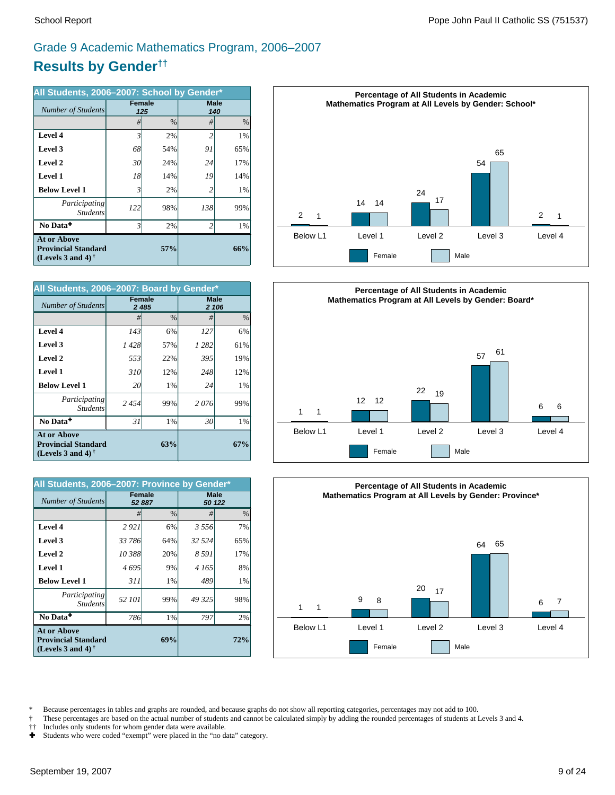# **Results by Gender††** Grade 9 Academic Mathematics Program, 2006–2007

| All Students, 2006-2007: School by Gender*                                     |                |                      |                    |      |  |  |
|--------------------------------------------------------------------------------|----------------|----------------------|--------------------|------|--|--|
| Number of Students                                                             |                | <b>Female</b><br>125 | <b>Male</b><br>140 |      |  |  |
|                                                                                | #              | $\frac{0}{0}$        | #                  | $\%$ |  |  |
| Level 4                                                                        | 3              | 2%                   | $\overline{c}$     | 1%   |  |  |
| Level 3                                                                        | 68             | 54%                  | 91                 | 65%  |  |  |
| Level 2                                                                        | 30             | 24%                  | 24                 | 17%  |  |  |
| Level 1                                                                        | 18             | 14%                  | 19                 | 14%  |  |  |
| <b>Below Level 1</b>                                                           | 3              | 2%                   | 2                  | 1%   |  |  |
| Participating<br><b>Students</b>                                               | 122            | 98%                  | 138                | 99%  |  |  |
| No Data <sup>+</sup>                                                           | $\overline{3}$ | 2%                   | $\overline{c}$     | 1%   |  |  |
| <b>At or Above</b><br><b>Provincial Standard</b><br>(Levels 3 and 4) $\dagger$ |                | 57%                  |                    | 66%  |  |  |

| All Students, 2006-2007: Board by Gender*                                             |      |                   |                      |               |  |  |
|---------------------------------------------------------------------------------------|------|-------------------|----------------------|---------------|--|--|
| Number of Students                                                                    |      | Female<br>2 4 8 5 | <b>Male</b><br>2 106 |               |  |  |
|                                                                                       | #    | $\frac{0}{0}$     | #                    | $\frac{0}{0}$ |  |  |
| Level 4                                                                               | 143  | 6%                | 127                  | 6%            |  |  |
| Level 3                                                                               | 1428 | 57%               | 1 2 8 2              | 61%           |  |  |
| Level 2                                                                               | 553  | 22%               | 395                  | 19%           |  |  |
| Level 1                                                                               | 310  | 12%               | 248                  | 12%           |  |  |
| <b>Below Level 1</b>                                                                  | 20   | 1%                | 24                   | 1%            |  |  |
| Participating<br><b>Students</b>                                                      | 2454 | 99%               | 2076                 | 99%           |  |  |
| No Data <sup>+</sup>                                                                  | 31   | 1%                | 30                   | 1%            |  |  |
| <b>At or Above</b><br>63%<br><b>Provincial Standard</b><br>(Levels 3 and 4) $\dagger$ |      |                   |                      | 67%           |  |  |

| All Students, 2006-2007: Province by Gender*                                   |               |               |         |                       |  |  |
|--------------------------------------------------------------------------------|---------------|---------------|---------|-----------------------|--|--|
| Number of Students                                                             | <b>Female</b> | 52 887        |         | <b>Male</b><br>50 122 |  |  |
|                                                                                | #             | $\frac{0}{0}$ | #       | $\%$                  |  |  |
| Level 4                                                                        | 2921          | 6%            | 3 5 5 6 | 7%                    |  |  |
| Level 3                                                                        | 33 786        | 64%           | 32 5 24 | 65%                   |  |  |
| Level 2                                                                        | 10 388        | 20%           | 8 5 9 1 | 17%                   |  |  |
| Level 1                                                                        | 4695          | 9%            | 4 165   | 8%                    |  |  |
| <b>Below Level 1</b>                                                           | 311           | 1%            | 489     | 1%                    |  |  |
| Participating<br><b>Students</b>                                               | 52 101        | 99%           | 49 325  | 98%                   |  |  |
| No Data <sup>+</sup>                                                           | 786           | 1%            | 797     | 2%                    |  |  |
| <b>At or Above</b><br><b>Provincial Standard</b><br>(Levels 3 and 4) $\dagger$ |               | 72%           |         |                       |  |  |







\* Because percentages in tables and graphs are rounded, and because graphs do not show all reporting categories, percentages may not add to 100.<br>These percentages are based on the actual number of students and cannot be ca

† These percentages are based on the actual number of students and cannot be calculated simply by adding the rounded percentages of students at Levels 3 and 4.<br>†† Includes only students for whom gender data were available.

†† Includes only students for whom gender data were available.

Ì Students who were coded "exempt" were placed in the "no data" category.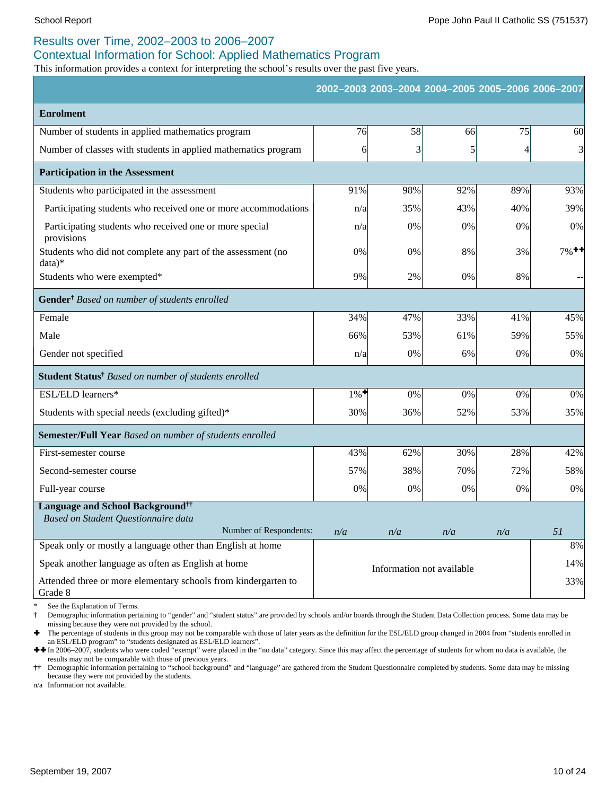### Results over Time, 2002–2003 to 2006–2007

#### Contextual Information for School: Applied Mathematics Program

This information provides a context for interpreting the school's results over the past five years.

|                                                                           |                    |     |                           | 2002-2003 2003-2004 2004-2005 2005-2006 2006-2007 |                     |
|---------------------------------------------------------------------------|--------------------|-----|---------------------------|---------------------------------------------------|---------------------|
| <b>Enrolment</b>                                                          |                    |     |                           |                                                   |                     |
| Number of students in applied mathematics program                         | 76                 | 58  | 66                        | 75                                                | 60                  |
| Number of classes with students in applied mathematics program            | 6                  | 3   | 5                         | 4                                                 | $\overline{3}$      |
| <b>Participation in the Assessment</b>                                    |                    |     |                           |                                                   |                     |
| Students who participated in the assessment                               | 91%                | 98% | 92%                       | 89%                                               | 93%                 |
| Participating students who received one or more accommodations            | n/a                | 35% | 43%                       | 40%                                               | 39%                 |
| Participating students who received one or more special<br>provisions     | n/a                | 0%  | 0%                        | 0%                                                | $0\%$               |
| Students who did not complete any part of the assessment (no<br>data)*    | 0%                 | 0%  | 8%                        | 3%                                                | $7\%$ <sup>++</sup> |
| Students who were exempted*                                               | 9%                 | 2%  | 0%                        | 8%                                                |                     |
| Gender <sup>†</sup> Based on number of students enrolled                  |                    |     |                           |                                                   |                     |
| Female                                                                    | 34%                | 47% | 33%                       | 41%                                               | 45%                 |
| Male                                                                      | 66%                | 53% | 61%                       | 59%                                               | 55%                 |
| Gender not specified                                                      | n/a                | 0%  | 6%                        | 0%                                                | 0%                  |
| Student Status <sup>†</sup> Based on number of students enrolled          |                    |     |                           |                                                   |                     |
| ESL/ELD learners*                                                         | $1\%$ <sup>+</sup> | 0%  | 0%                        | 0%                                                | $0\%$               |
| Students with special needs (excluding gifted)*                           | 30%                | 36% | 52%                       | 53%                                               | 35%                 |
| Semester/Full Year Based on number of students enrolled                   |                    |     |                           |                                                   |                     |
| First-semester course                                                     | 43%                | 62% | 30%                       | 28%                                               | 42%                 |
| Second-semester course                                                    | 57%                | 38% | 70%                       | 72%                                               | 58%                 |
| Full-year course                                                          | 0%                 | 0%  | 0%                        | 0%                                                | $0\%$               |
| <b>Language and School Background</b> <sup>††</sup>                       |                    |     |                           |                                                   |                     |
| Based on Student Questionnaire data<br>Number of Respondents:             | n/a                | n/a | n/a                       | n/a                                               | 51                  |
| Speak only or mostly a language other than English at home                |                    |     |                           |                                                   | 8%                  |
| Speak another language as often as English at home                        |                    |     | Information not available |                                                   | 14%                 |
| Attended three or more elementary schools from kindergarten to<br>Grade 8 |                    |     |                           |                                                   | 33%                 |

See the Explanation of Terms.

**†** Demographic information pertaining to "gender" and "student status" are provided by schools and/or boards through the Student Data Collection process. Some data may be missing because they were not provided by the school.

Ì The percentage of students in this group may not be comparable with those of later years as the definition for the ESL/ELD group changed in 2004 from "students enrolled in an ESL/ELD program" to "students designated as ESL/ELD learners".

 $+$  In 2006–2007, students who were coded "exempt" were placed in the "no data" category. Since this may affect the percentage of students for whom no data is available, the results may not be comparable with those of previous years.

**††** Demographic information pertaining to "school background" and "language" are gathered from the Student Questionnaire completed by students. Some data may be missing because they were not provided by the students.

n/a Information not available.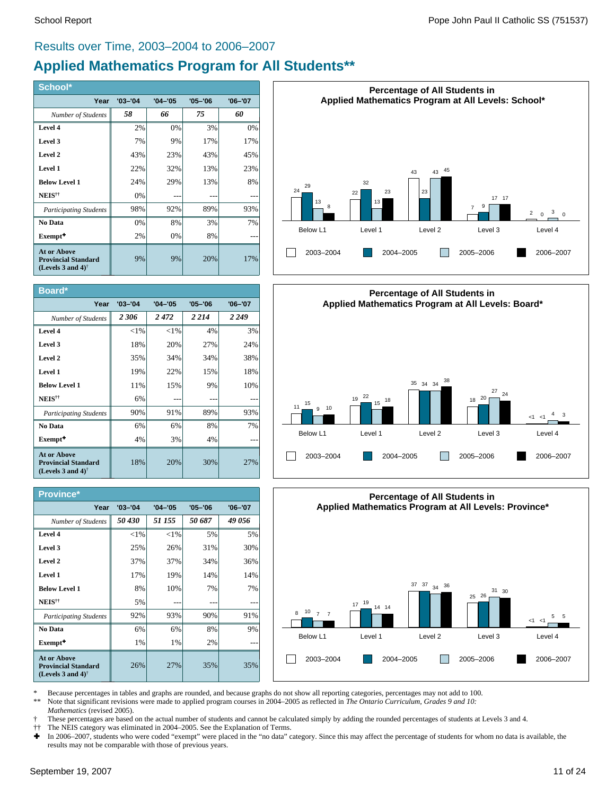#### Results over Time, 2003–2004 to 2006–2007

# **Applied Mathematics Program for All Students\*\***

| School*                                                                                              |             |             |             |             |
|------------------------------------------------------------------------------------------------------|-------------|-------------|-------------|-------------|
| Year                                                                                                 | $'03 - '04$ | $'04 - '05$ | $'05 - '06$ | $'06 - '07$ |
| Number of Students                                                                                   | 58          | 66          | 75          | 60          |
| Level 4                                                                                              | 2%          | 0%          | 3%          | 0%          |
| Level 3                                                                                              | 7%          | 9%          | 17%         | 17%         |
| Level 2                                                                                              | 43%         | 23%         | 43%         | 45%         |
| Level 1                                                                                              | 22%         | 32%         | 13%         | 23%         |
| <b>Below Level 1</b>                                                                                 | 24%         | 29%         | 13%         | 8%          |
| NEIS <sup>††</sup>                                                                                   | 0%          |             |             |             |
| <b>Participating Students</b>                                                                        | 98%         | 92%         | 89%         | 93%         |
| No Data                                                                                              | 0%          | 8%          | 3%          | 7%          |
| Exempt <sup>+</sup>                                                                                  | 2%          | 0%          | 8%          |             |
| <b>At or Above</b><br><b>Provincial Standard</b><br>(Levels 3 and 4) <sup><math>\dagger</math></sup> | 9%          | 9%          | 20%         | 17%         |

| Board*                                                                                               |             |             |             |             |
|------------------------------------------------------------------------------------------------------|-------------|-------------|-------------|-------------|
| Year                                                                                                 | $'03 - '04$ | $'04 - '05$ | $'05 - '06$ | $'06 - '07$ |
| Number of Students                                                                                   | 2306        | 2472        | 2 2 1 4     | 2 2 4 9     |
| Level 4                                                                                              | ${<}1\%$    | ${<}1\%$    | 4%          | 3%          |
| Level 3                                                                                              | 18%         | 20%         | 27%         | 24%         |
| Level 2                                                                                              | 35%         | 34%         | 34%         | 38%         |
| Level 1                                                                                              | 19%         | 22%         | 15%         | 18%         |
| <b>Below Level 1</b>                                                                                 | 11%         | 15%         | 9%          | 10%         |
| NEIS <sup>††</sup>                                                                                   | 6%          |             |             |             |
| <b>Participating Students</b>                                                                        | 90%         | 91%         | 89%         | 93%         |
| No Data                                                                                              | 6%          | 6%          | 8%          | 7%          |
| Exempt <sup>+</sup>                                                                                  | 4%          | 3%          | 4%          |             |
| <b>At or Above</b><br><b>Provincial Standard</b><br>(Levels 3 and 4) <sup><math>\dagger</math></sup> | 18%         | 20%         | 30%         | 27%         |

| <b>Province*</b>                                                                                     |             |             |             |             |
|------------------------------------------------------------------------------------------------------|-------------|-------------|-------------|-------------|
| Year                                                                                                 | $'03 - '04$ | $'04 - '05$ | $'05 - '06$ | $'06 - '07$ |
| Number of Students                                                                                   | 50 430      | 51 155      | 50 687      | 49 056      |
| Level 4                                                                                              | ${<}1\%$    | ${<}1\%$    | 5%          | 5%          |
| Level 3                                                                                              | 25%         | 26%         | 31%         | 30%         |
| Level 2                                                                                              | 37%         | 37%         | 34%         | 36%         |
| Level 1                                                                                              | 17%         | 19%         | 14%         | 14%         |
| <b>Below Level 1</b>                                                                                 | 8%          | 10%         | 7%          | 7%          |
| NEIS <sup>††</sup>                                                                                   | 5%          |             |             |             |
| <b>Participating Students</b>                                                                        | 92%         | 93%         | 90%         | 91%         |
| No Data                                                                                              | 6%          | 6%          | 8%          | 9%          |
| Exempt <sup>+</sup>                                                                                  | 1%          | 1%          | 2%          |             |
| <b>At or Above</b><br><b>Provincial Standard</b><br>(Levels 3 and 4) <sup><math>\dagger</math></sup> | 26%         | 27%         | 35%         | 35%         |







\* Because percentages in tables and graphs are rounded, and because graphs do not show all reporting categories, percentages may not add to 100.<br>\*\* Note that significant ravisions were made to applied program courses in 20

Note that significant revisions were made to applied program courses in 2004–2005 as reflected in *The Ontario Curriculum, Grades 9 and 10:* 

*Mathematics* (revised 2005).

† These percentages are based on the actual number of students and cannot be calculated simply by adding the rounded percentages of students at Levels 3 and 4.

†† The NEIS category was eliminated in 2004–2005. See the Explanation of Terms.

In 2006–2007, students who were coded "exempt" were placed in the "no data" category. Since this may affect the percentage of students for whom no data is available, the results may not be comparable with those of previous years.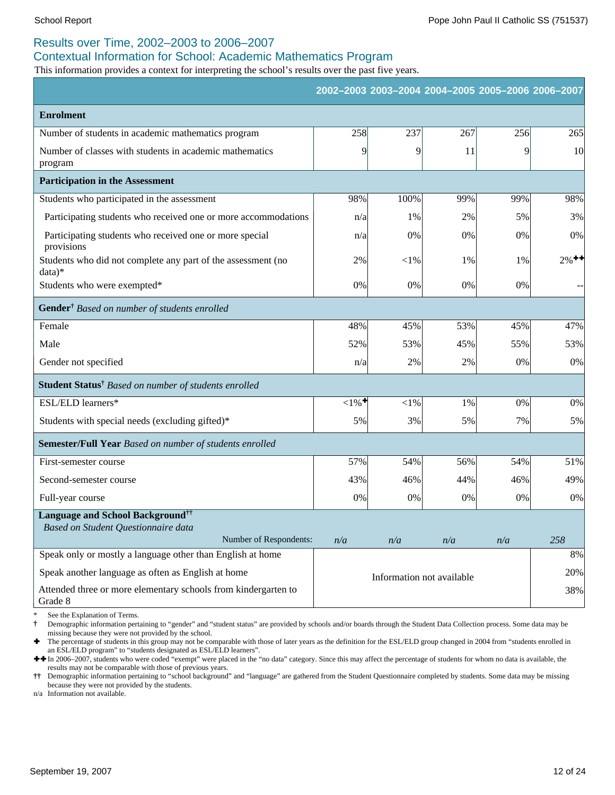### Results over Time, 2002–2003 to 2006–2007

#### Contextual Information for School: Academic Mathematics Program

This information provides a context for interpreting the school's results over the past five years.

|                                                                          |                    |          | 2002-2003 2003-2004 2004-2005 2005-2006 2006-2007 |             |                     |
|--------------------------------------------------------------------------|--------------------|----------|---------------------------------------------------|-------------|---------------------|
| <b>Enrolment</b>                                                         |                    |          |                                                   |             |                     |
| Number of students in academic mathematics program                       | 258                | 237      | 267                                               | 256         | 265                 |
| Number of classes with students in academic mathematics<br>program       | 9                  | 9        | 11                                                | $\mathbf Q$ | 10 <sup>l</sup>     |
| <b>Participation in the Assessment</b>                                   |                    |          |                                                   |             |                     |
| Students who participated in the assessment                              | 98%                | 100%     | 99%                                               | 99%         | 98%                 |
| Participating students who received one or more accommodations           | n/a                | 1%       | 2%                                                | 5%          | 3%                  |
| Participating students who received one or more special<br>provisions    | n/a                | 0%       | 0%                                                | 0%          | 0%                  |
| Students who did not complete any part of the assessment (no<br>$data)*$ | 2%                 | ${<}1\%$ | 1%                                                | 1%          | $2\%$ <sup>++</sup> |
| Students who were exempted*                                              | 0%                 | $0\%$    | 0%                                                | 0%          |                     |
| Gender <sup>†</sup> Based on number of students enrolled                 |                    |          |                                                   |             |                     |
| Female                                                                   | 48%                | 45%      | 53%                                               | 45%         | 47%                 |
| Male                                                                     | 52%                | 53%      | 45%                                               | 55%         | 53%                 |
| Gender not specified                                                     | n/a                | 2%       | 2%                                                | 0%          | 0%                  |
| Student Status <sup>†</sup> Based on number of students enrolled         |                    |          |                                                   |             |                     |
| ESL/ELD learners*                                                        | $1\%$ <sup>+</sup> | $<$ 1%   | 1%                                                | 0%          | 0%                  |
| Students with special needs (excluding gifted)*                          | 5%                 | 3%       | 5%                                                | 7%          | 5%                  |
| Semester/Full Year Based on number of students enrolled                  |                    |          |                                                   |             |                     |
| First-semester course                                                    | 57%                | 54%      | 56%                                               | 54%         | 51%                 |
| Second-semester course                                                   | 43%                | 46%      | 44%                                               | 46%         | 49%                 |
| Full-year course                                                         | 0%                 | $0\%$    | 0%                                                | 0%          | 0%                  |
| <b>Language and School Background</b> <sup>††</sup>                      |                    |          |                                                   |             |                     |
| Based on Student Questionnaire data<br>Number of Respondents:            | n/a                | n/a      | n/a                                               | n/a         | 258                 |
| Speak only or mostly a language other than English at home               |                    |          |                                                   |             | 8%                  |
| Speak another language as often as English at home                       |                    |          |                                                   |             | 20%                 |
| Attended three or more elementary schools from kindergarten to           |                    |          | Information not available                         |             | 38%                 |
| Grade 8                                                                  |                    |          |                                                   |             |                     |

See the Explanation of Terms.

**†** Demographic information pertaining to "gender" and "student status" are provided by schools and/or boards through the Student Data Collection process. Some data may be missing because they were not provided by the school.

Ì The percentage of students in this group may not be comparable with those of later years as the definition for the ESL/ELD group changed in 2004 from "students enrolled in an ESL/ELD program" to "students designated as ESL/ELD learners".

**++** In 2006–2007, students who were coded "exempt" were placed in the "no data" category. Since this may affect the percentage of students for whom no data is available, the results may not be comparable with those of previous years.

**††** Demographic information pertaining to "school background" and "language" are gathered from the Student Questionnaire completed by students. Some data may be missing because they were not provided by the students.

n/a Information not available.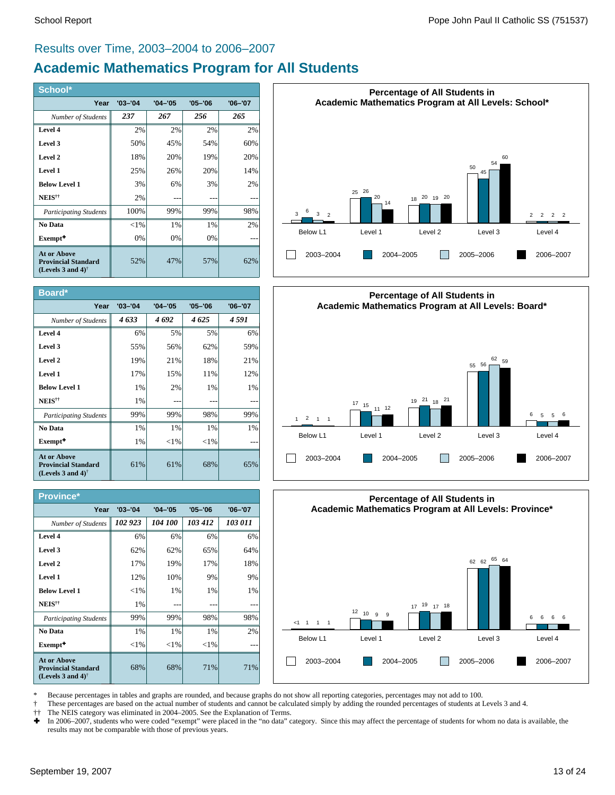#### Results over Time, 2003–2004 to 2006–2007

# **Academic Mathematics Program for All Students**

| School*                                                                                              |             |             |             |             |
|------------------------------------------------------------------------------------------------------|-------------|-------------|-------------|-------------|
| Year                                                                                                 | $'03 - '04$ | $'04 - '05$ | $'05 - '06$ | $'06 - '07$ |
| Number of Students                                                                                   | 237         | 267         | 256         | 265         |
| Level 4                                                                                              | 2%          | 2%          | 2%          | 2%          |
| Level 3                                                                                              | 50%         | 45%         | 54%         | 60%         |
| Level 2                                                                                              | 18%         | 20%         | 19%         | 20%         |
| Level 1                                                                                              | 25%         | 26%         | 20%         | 14%         |
| <b>Below Level 1</b>                                                                                 | 3%          | 6%          | 3%          | 2%          |
| NEIS <sup>††</sup>                                                                                   | 2%          |             |             |             |
| <b>Participating Students</b>                                                                        | 100%        | 99%         | 99%         | 98%         |
| No Data                                                                                              | ${<}1\%$    | 1%          | 1%          | 2%          |
| Exempt <sup>+</sup>                                                                                  | 0%          | 0%          | 0%          |             |
| <b>At or Above</b><br><b>Provincial Standard</b><br>(Levels 3 and 4) <sup><math>\dagger</math></sup> | 52%         | 47%         | 57%         | 62%         |

| Board*                                                                                               |             |             |             |             |
|------------------------------------------------------------------------------------------------------|-------------|-------------|-------------|-------------|
| Year                                                                                                 | $'03 - '04$ | $'04 - '05$ | $'05 - '06$ | $'06 - '07$ |
| Number of Students                                                                                   | 4633        | 4692        | 4625        | 4 591       |
| Level 4                                                                                              | 6%          | 5%          | 5%          | 6%          |
| Level 3                                                                                              | 55%         | 56%         | 62%         | 59%         |
| Level 2                                                                                              | 19%         | 21%         | 18%         | 21%         |
| Level 1                                                                                              | 17%         | 15%         | 11%         | 12%         |
| <b>Below Level 1</b>                                                                                 | $1\%$       | 2%          | $1\%$       | $1\%$       |
| NEIS <sup>††</sup>                                                                                   | 1%          |             |             |             |
| <b>Participating Students</b>                                                                        | 99%         | 99%         | 98%         | 99%         |
| No Data                                                                                              | 1%          | 1%          | $1\%$       | $1\%$       |
| Exempt <sup>+</sup>                                                                                  | 1%          | ${<}1\%$    | ${<}1\%$    |             |
| <b>At or Above</b><br><b>Provincial Standard</b><br>(Levels 3 and 4) <sup><math>\dagger</math></sup> | 61%         | 61%         | 68%         | 65%         |

#### **Province\***

| .                                                                                                    |             |             |             |             |
|------------------------------------------------------------------------------------------------------|-------------|-------------|-------------|-------------|
| Year                                                                                                 | $'03 - '04$ | $'04 - '05$ | $'05 - '06$ | $'06 - '07$ |
| Number of Students                                                                                   | 102 923     | 104 100     | 103 412     | 103 011     |
| Level 4                                                                                              | 6%          | 6%          | 6%          | 6%          |
| Level 3                                                                                              | 62%         | 62%         | 65%         | 64%         |
| Level 2                                                                                              | 17%         | 19%         | 17%         | 18%         |
| Level 1                                                                                              | 12%         | 10%         | 9%          | 9%          |
| <b>Below Level 1</b>                                                                                 | ${<}1\%$    | 1%          | 1%          | 1%          |
| NEIS <sup>††</sup>                                                                                   | 1%          |             |             |             |
| <b>Participating Students</b>                                                                        | 99%         | 99%         | 98%         | 98%         |
| No Data                                                                                              | 1%          | 1%          | 1%          | 2%          |
| Exempt <sup>+</sup>                                                                                  | ${<}1\%$    | ${<}1\%$    | ${<}1\%$    |             |
| <b>At or Above</b><br><b>Provincial Standard</b><br>(Levels 3 and 4) <sup><math>\dagger</math></sup> | 68%         | 68%         | 71%         | 71%         |







\* Because percentages in tables and graphs are rounded, and because graphs do not show all reporting categories, percentages may not add to 100.

† These percentages are based on the actual number of students and cannot be calculated simply by adding the rounded percentages of students at Levels 3 and 4.

†† The NEIS category was eliminated in 2004–2005. See the Explanation of Terms.<br>► In 2006–2007, students who were coded "exempt" were placed in the "no data" c

In 2006–2007, students who were coded "exempt" were placed in the "no data" category. Since this may affect the percentage of students for whom no data is available, the results may not be comparable with those of previous years.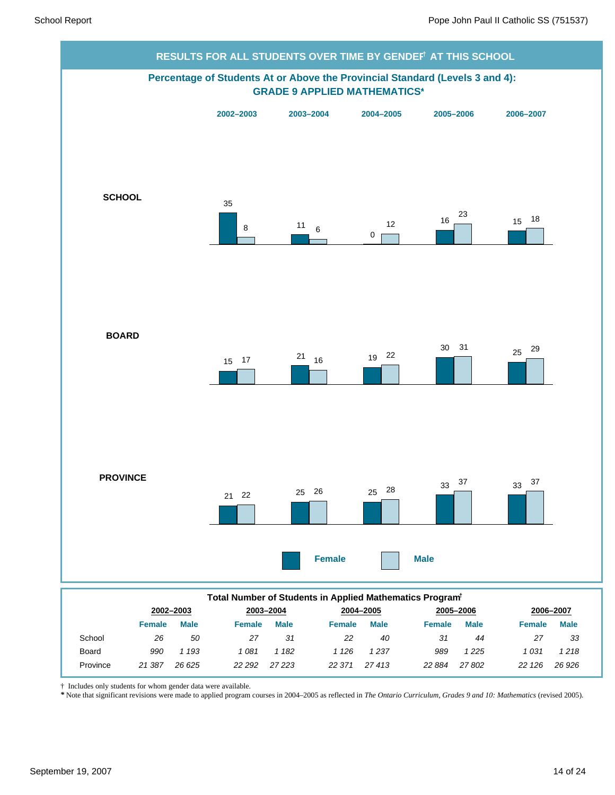

† Includes only students for whom gender data were available.

Province *21 387*

*26 625 22 292*

*\** Note that significant revisions were made to applied program courses in 2004–2005 as reflected in *The Ontario Curriculum, Grades 9 and 10: Mathematics* (revised 2005).

*27 223 22 371*

*22 126 26 926*

*27 802*

*27 413 22 884*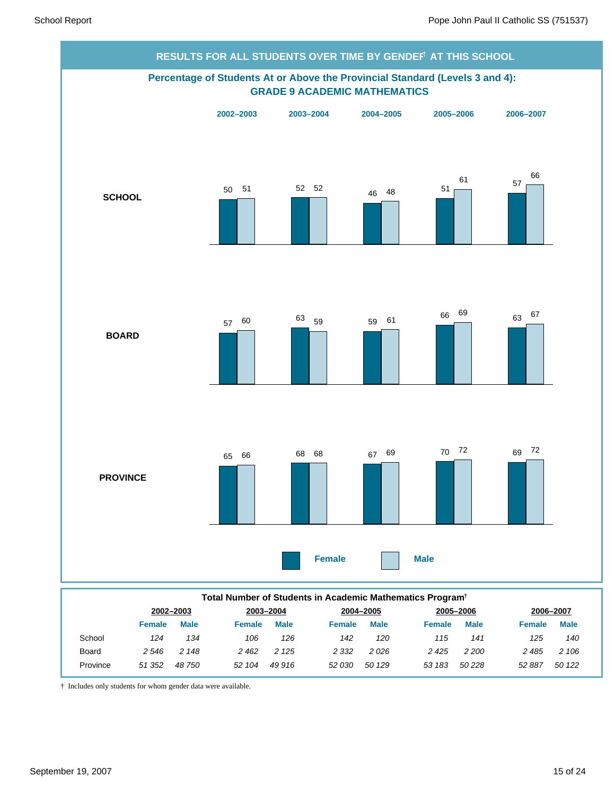

|          | TULAI NUMBER OF OLUGENIS IN ACAGEMIC MAMEMANCS FIOGRAM |             |               |             |         |             |               |             |               |             |  |
|----------|--------------------------------------------------------|-------------|---------------|-------------|---------|-------------|---------------|-------------|---------------|-------------|--|
|          | 2002-2003                                              |             |               | 2003-2004   |         | 2004-2005   |               | 2005-2006   |               | 2006-2007   |  |
|          | <b>Female</b>                                          | <b>Male</b> | <b>Female</b> | <b>Male</b> | Female  | <b>Male</b> | <b>Female</b> | <b>Male</b> | <b>Female</b> | <b>Male</b> |  |
| School   | 124                                                    | 134         | 106           | 126         | 142     | 120         | 115           | 141         | 125           | 140         |  |
| Board    | 2 546                                                  | 2 148       | 2 4 6 2       | 2 1 2 5     | 2 3 3 2 | 2026        | 2425          | 2 2 0 0     | 2 4 8 5       | 2 106       |  |
| Province | 51 352                                                 | 48 750      | 52 104        | 49 916      | 52 030  | 50 129      | 53 183        | 50 228      | 52 887        | 50 122      |  |
|          |                                                        |             |               |             |         |             |               |             |               |             |  |

† Includes only students for whom gender data were available.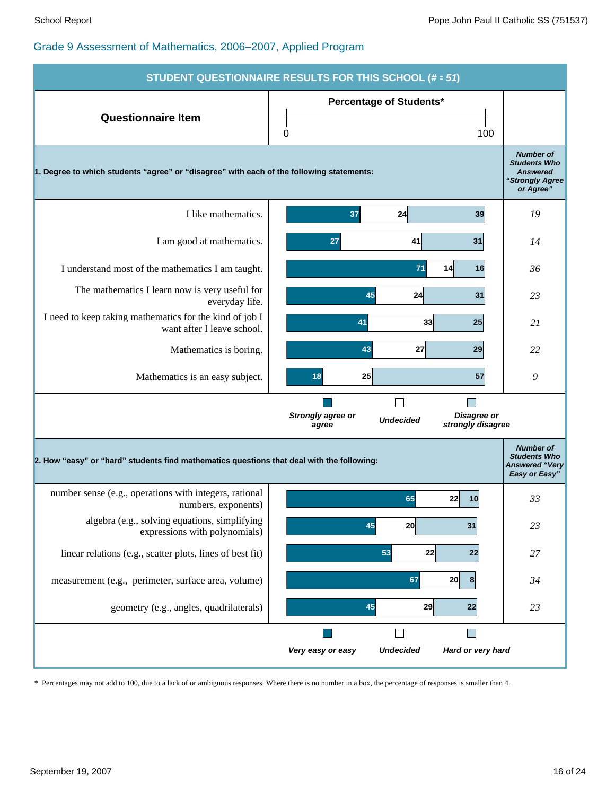| <b>STUDENT QUESTIONNAIRE RESULTS FOR THIS SCHOOL (# = 51)</b>                             |                                                                                    |                                                                                            |  |  |  |  |  |
|-------------------------------------------------------------------------------------------|------------------------------------------------------------------------------------|--------------------------------------------------------------------------------------------|--|--|--|--|--|
| <b>Questionnaire Item</b>                                                                 | <b>Percentage of Students*</b><br>0<br>100                                         |                                                                                            |  |  |  |  |  |
| 1. Degree to which students "agree" or "disagree" with each of the following statements:  |                                                                                    | <b>Number of</b><br><b>Students Who</b><br><b>Answered</b><br>"Strongly Agree<br>or Agree" |  |  |  |  |  |
| I like mathematics.                                                                       | 37<br>24<br>39                                                                     | 19                                                                                         |  |  |  |  |  |
| I am good at mathematics.                                                                 | 41<br>31<br>27                                                                     | 14                                                                                         |  |  |  |  |  |
| I understand most of the mathematics I am taught.                                         | 71<br>14<br>16                                                                     | 36                                                                                         |  |  |  |  |  |
| The mathematics I learn now is very useful for<br>everyday life.                          | 45<br>24<br>31                                                                     | 23                                                                                         |  |  |  |  |  |
| I need to keep taking mathematics for the kind of job I<br>want after I leave school.     | 33<br>41<br>25                                                                     | 21                                                                                         |  |  |  |  |  |
| Mathematics is boring.                                                                    | 43<br>27<br>29                                                                     | 22                                                                                         |  |  |  |  |  |
| Mathematics is an easy subject.                                                           | 18<br>25<br>57                                                                     | 9                                                                                          |  |  |  |  |  |
|                                                                                           | Strongly agree or<br>Disagree or<br><b>Undecided</b><br>strongly disagree<br>agree |                                                                                            |  |  |  |  |  |
| 2. How "easy" or "hard" students find mathematics questions that deal with the following: |                                                                                    | <b>Number of</b><br><b>Students Who</b><br><b>Answered "Very</b><br>Easy or Easy"          |  |  |  |  |  |
| number sense (e.g., operations with integers, rational<br>numbers, exponents)             | 65<br>22<br>10                                                                     | 33                                                                                         |  |  |  |  |  |
| algebra (e.g., solving equations, simplifying<br>expressions with polynomials)            | 20<br>31<br>45                                                                     | 23                                                                                         |  |  |  |  |  |
| linear relations (e.g., scatter plots, lines of best fit)                                 | 53<br>22<br>22                                                                     | 27                                                                                         |  |  |  |  |  |
| measurement (e.g., perimeter, surface area, volume)                                       | 67<br>20<br>8                                                                      | 34                                                                                         |  |  |  |  |  |
| geometry (e.g., angles, quadrilaterals)                                                   | 45<br>29<br>22                                                                     | 23                                                                                         |  |  |  |  |  |
|                                                                                           | <b>I</b>                                                                           |                                                                                            |  |  |  |  |  |
|                                                                                           | <b>Undecided</b><br>Hard or very hard<br>Very easy or easy                         |                                                                                            |  |  |  |  |  |

\* Percentages may not add to 100, due to a lack of or ambiguous responses. Where there is no number in a box, the percentage of responses is smaller than 4.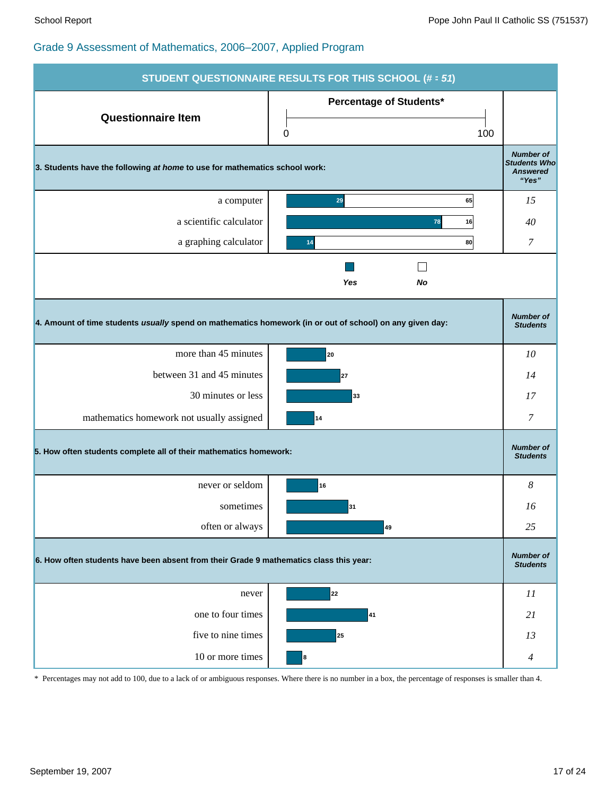| STUDENT QUESTIONNAIRE RESULTS FOR THIS SCHOOL (# = 51)                                                   |                                                                   |                                                                     |  |  |  |  |
|----------------------------------------------------------------------------------------------------------|-------------------------------------------------------------------|---------------------------------------------------------------------|--|--|--|--|
| <b>Questionnaire Item</b>                                                                                | Percentage of Students*                                           |                                                                     |  |  |  |  |
|                                                                                                          | 100<br>0                                                          |                                                                     |  |  |  |  |
| 3. Students have the following at home to use for mathematics school work:                               |                                                                   | <b>Number of</b><br><b>Students Who</b><br><b>Answered</b><br>"Yes" |  |  |  |  |
| a computer                                                                                               | 29<br>65                                                          | 15                                                                  |  |  |  |  |
| a scientific calculator                                                                                  | 78<br>16                                                          | 40                                                                  |  |  |  |  |
| a graphing calculator                                                                                    | 80<br>14                                                          | 7                                                                   |  |  |  |  |
|                                                                                                          | Yes<br>No                                                         |                                                                     |  |  |  |  |
| 4. Amount of time students usually spend on mathematics homework (in or out of school) on any given day: |                                                                   | <b>Number of</b><br><b>Students</b>                                 |  |  |  |  |
| more than 45 minutes                                                                                     | 20                                                                | 10                                                                  |  |  |  |  |
| between 31 and 45 minutes                                                                                | 27                                                                | 14                                                                  |  |  |  |  |
| 30 minutes or less                                                                                       | 33                                                                | 17                                                                  |  |  |  |  |
| mathematics homework not usually assigned                                                                | 14                                                                | 7                                                                   |  |  |  |  |
|                                                                                                          | 5. How often students complete all of their mathematics homework: |                                                                     |  |  |  |  |
| never or seldom                                                                                          | 16                                                                | 8                                                                   |  |  |  |  |
| sometimes                                                                                                | 31                                                                | 16                                                                  |  |  |  |  |
| often or always                                                                                          | 49                                                                | 25                                                                  |  |  |  |  |
| 6. How often students have been absent from their Grade 9 mathematics class this year:                   |                                                                   |                                                                     |  |  |  |  |
| never                                                                                                    | 22                                                                | 11                                                                  |  |  |  |  |
| one to four times                                                                                        | 41                                                                | 21                                                                  |  |  |  |  |
| five to nine times                                                                                       | 25                                                                | 13                                                                  |  |  |  |  |
| 10 or more times                                                                                         | 8                                                                 | $\overline{4}$                                                      |  |  |  |  |

\* Percentages may not add to 100, due to a lack of or ambiguous responses. Where there is no number in a box, the percentage of responses is smaller than 4.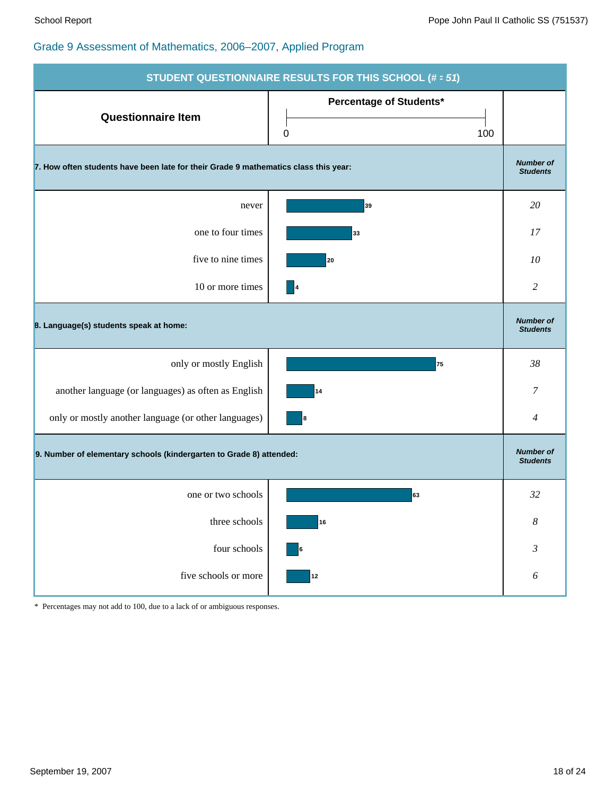| STUDENT QUESTIONNAIRE RESULTS FOR THIS SCHOOL (# = 51)                              |                                     |                                     |  |  |  |
|-------------------------------------------------------------------------------------|-------------------------------------|-------------------------------------|--|--|--|
| <b>Questionnaire Item</b>                                                           | Percentage of Students*<br>0<br>100 |                                     |  |  |  |
| 7. How often students have been late for their Grade 9 mathematics class this year: |                                     |                                     |  |  |  |
| never                                                                               | 39                                  | 20                                  |  |  |  |
| one to four times                                                                   | 33                                  | 17                                  |  |  |  |
| five to nine times                                                                  | 20                                  | 10                                  |  |  |  |
| 10 or more times                                                                    | $\vert 4$                           | $\overline{c}$                      |  |  |  |
| 8. Language(s) students speak at home:                                              |                                     | <b>Number of</b><br><b>Students</b> |  |  |  |
| only or mostly English                                                              | 75                                  | 38                                  |  |  |  |
| another language (or languages) as often as English                                 | 14                                  | 7                                   |  |  |  |
| only or mostly another language (or other languages)                                | 8                                   | $\overline{4}$                      |  |  |  |
| 9. Number of elementary schools (kindergarten to Grade 8) attended:                 |                                     | <b>Number of</b><br><b>Students</b> |  |  |  |
| one or two schools                                                                  | 63                                  | 32                                  |  |  |  |
| three schools                                                                       | 16                                  | $\boldsymbol{8}$                    |  |  |  |
| four schools                                                                        | 6                                   | $\mathfrak{Z}$                      |  |  |  |
| five schools or more                                                                | $12$                                | $\boldsymbol{\delta}$               |  |  |  |

\* Percentages may not add to 100, due to a lack of or ambiguous responses.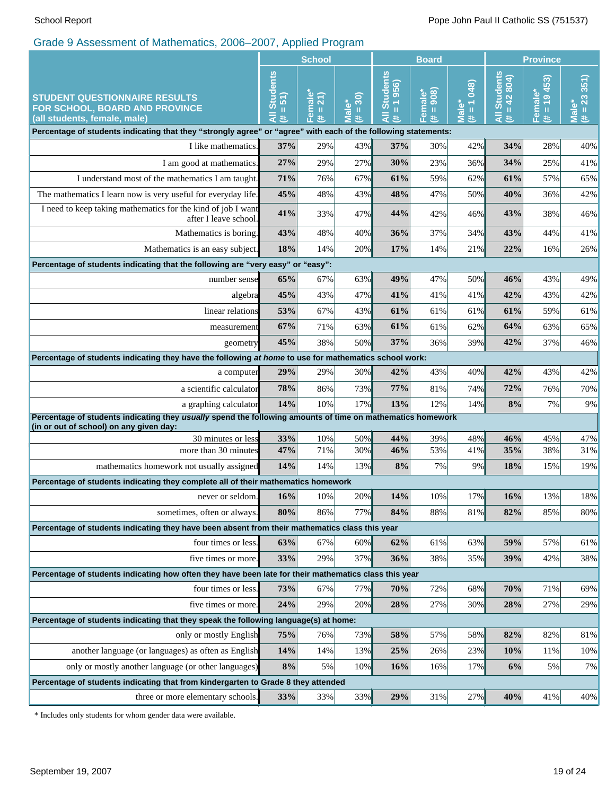|                                                                                                                                                       | <b>School</b>                                               |                               | <b>Board</b>                                 |                                                       |                                | <b>Province</b>                    |                                |                           |                      |
|-------------------------------------------------------------------------------------------------------------------------------------------------------|-------------------------------------------------------------|-------------------------------|----------------------------------------------|-------------------------------------------------------|--------------------------------|------------------------------------|--------------------------------|---------------------------|----------------------|
| <b>STUDENT QUESTIONNAIRE RESULTS</b><br>FOR SCHOOL, BOARD AND PROVINCE<br>(all students, female, male)                                                | <b>Students</b><br>$\overline{5}$<br>$\, \rm{II}$<br>₹<br>共 | Female<br>21)<br>$\,$ II<br>共 | $= 30$<br>ٶ<br>$\bar{\bar{\mathbf{z}}}$<br># | <b>Students</b><br>1956)<br>$\rm H$<br>$\bar{a}$<br>共 | 908)<br>Female<br>$\,$ II<br>共 | $= 1048$<br>Male <sup>*</sup><br>进 | All Students<br>$= 42804$<br>巷 | $= 19453$<br>Female*<br>违 | $# = 23331$<br>Male* |
| Percentage of students indicating that they "strongly agree" or "agree" with each of the following statements:                                        |                                                             |                               |                                              |                                                       |                                |                                    |                                |                           |                      |
| I like mathematics.                                                                                                                                   | 37%                                                         | 29%                           | 43%                                          | 37%                                                   | 30%                            | 42%                                | 34%                            | 28%                       | 40%                  |
| I am good at mathematics.                                                                                                                             | 27%                                                         | 29%                           | 27%                                          | 30%                                                   | 23%                            | 36%                                | 34%                            | 25%                       | 41%                  |
| I understand most of the mathematics I am taught.                                                                                                     | 71%                                                         | 76%                           | 67%                                          | 61%                                                   | 59%                            | 62%                                | 61%                            | 57%                       | 65%                  |
| The mathematics I learn now is very useful for everyday life.                                                                                         | 45%                                                         | 48%                           | 43%                                          | 48%                                                   | 47%                            | 50%                                | 40%                            | 36%                       | 42%                  |
| I need to keep taking mathematics for the kind of job I want<br>after I leave school.                                                                 | 41%                                                         | 33%                           | 47%                                          | 44%                                                   | 42%                            | 46%                                | 43%                            | 38%                       | 46%                  |
| Mathematics is boring.                                                                                                                                | 43%                                                         | 48%                           | 40%                                          | 36%                                                   | 37%                            | 34%                                | 43%                            | 44%                       | 41%                  |
| Mathematics is an easy subject.                                                                                                                       | 18%                                                         | 14%                           | 20%                                          | 17%                                                   | 14%                            | 21%                                | 22%                            | 16%                       | 26%                  |
| Percentage of students indicating that the following are "very easy" or "easy":                                                                       |                                                             |                               |                                              |                                                       |                                |                                    |                                |                           |                      |
| number sense                                                                                                                                          | 65%                                                         | 67%                           | 63%                                          | 49%                                                   | 47%                            | 50%                                | 46%                            | 43%                       | 49%                  |
| algebra∥                                                                                                                                              | 45%                                                         | 43%                           | 47%                                          | 41%                                                   | 41%                            | 41%                                | 42%                            | 43%                       | 42%                  |
| linear relations                                                                                                                                      | 53%                                                         | 67%                           | 43%                                          | 61%                                                   | 61%                            | 61%                                | 61%                            | 59%                       | 61%                  |
| measurement                                                                                                                                           | 67%                                                         | 71%                           | 63%                                          | 61%                                                   | 61%                            | 62%                                | 64%                            | 63%                       | 65%                  |
| geometry                                                                                                                                              | 45%                                                         | 38%                           | 50%                                          | 37%                                                   | 36%                            | 39%                                | 42%                            | 37%                       | 46%                  |
| Percentage of students indicating they have the following at home to use for mathematics school work:                                                 |                                                             |                               |                                              |                                                       |                                |                                    |                                |                           |                      |
| a computer                                                                                                                                            | 29%                                                         | 29%                           | 30%                                          | 42%                                                   | 43%                            | 40%                                | 42%                            | 43%                       | 42%                  |
| a scientific calculator                                                                                                                               | 78%                                                         | 86%                           | 73%                                          | 77%                                                   | 81%                            | 74%                                | 72%                            | 76%                       | 70%                  |
| a graphing calculator                                                                                                                                 | 14%                                                         | 10%                           | 17%                                          | 13%                                                   | 12%                            | 14%                                | 8%                             | 7%                        | 9%                   |
| Percentage of students indicating they usually spend the following amounts of time on mathematics homework<br>(in or out of school) on any given day: |                                                             |                               |                                              |                                                       |                                |                                    |                                |                           |                      |
| 30 minutes or less                                                                                                                                    | 33%                                                         | 10%                           | 50%                                          | 44%                                                   | 39%                            | 48%                                | 46%                            | 45%                       | 47%                  |
| more than 30 minutes                                                                                                                                  | 47%                                                         | 71%                           | 30%                                          | 46%                                                   | 53%                            | 41%                                | 35%                            | 38%                       | 31%                  |
| mathematics homework not usually assigned                                                                                                             |                                                             | 14%                           | 13%                                          | 8%                                                    | 7%                             | 9%                                 | 18%                            | 15%                       | 19%                  |
| Percentage of students indicating they complete all of their mathematics homework                                                                     |                                                             |                               |                                              |                                                       |                                |                                    |                                |                           |                      |
| never or seldom.                                                                                                                                      | 16%                                                         | $10\%$                        | 20%                                          | 14%                                                   | $10\%$                         | 17%                                | $16\%$                         | 13%                       | 18%                  |
| sometimes, often or always.                                                                                                                           | 80%                                                         | 86%                           | 77%                                          | 84%                                                   | 88%                            | 81%                                | 82%                            | 85%                       | 80%                  |
| Percentage of students indicating they have been absent from their mathematics class this year                                                        |                                                             |                               |                                              |                                                       |                                |                                    |                                |                           |                      |
| four times or less.                                                                                                                                   | 63%                                                         | 67%                           | 60%                                          | 62%                                                   | 61%                            | 63%                                | 59%                            | 57%                       | 61%                  |
| five times or more.                                                                                                                                   | 33%                                                         | 29%                           | 37%                                          | 36%                                                   | 38%                            | 35%                                | 39%                            | 42%                       | 38%                  |
| Percentage of students indicating how often they have been late for their mathematics class this year                                                 |                                                             |                               |                                              |                                                       |                                |                                    |                                |                           |                      |
| four times or less.                                                                                                                                   | 73%                                                         | 67%                           | 77%                                          | 70%                                                   | 72%                            | 68%                                | 70%                            | 71%                       | 69%                  |
| five times or more.                                                                                                                                   | 24%                                                         | 29%                           | 20%                                          | 28%                                                   | 27%                            | 30%                                | 28%                            | 27%                       | 29%                  |
| Percentage of students indicating that they speak the following language(s) at home:                                                                  |                                                             |                               |                                              |                                                       |                                |                                    |                                |                           |                      |
| only or mostly English                                                                                                                                | 75%                                                         | 76%                           | 73%                                          | 58%                                                   | 57%                            | 58%                                | 82%                            | 82%                       | 81%                  |
| another language (or languages) as often as English                                                                                                   | 14%                                                         | 14%                           | 13%                                          | 25%                                                   | 26%                            | 23%                                | 10%                            | 11%                       | 10%                  |
| only or mostly another language (or other languages)                                                                                                  | 8%                                                          | 5%                            | 10%                                          | 16%                                                   | 16%                            | 17%                                | 6%                             | 5%                        | 7%                   |
| Percentage of students indicating that from kindergarten to Grade 8 they attended                                                                     |                                                             |                               |                                              |                                                       |                                |                                    |                                |                           |                      |
| three or more elementary schools.                                                                                                                     | 33%                                                         | 33%                           | 33%                                          | 29%                                                   | 31%                            | 27%                                | 40%                            | 41%                       | 40%                  |

\* Includes only students for whom gender data were available.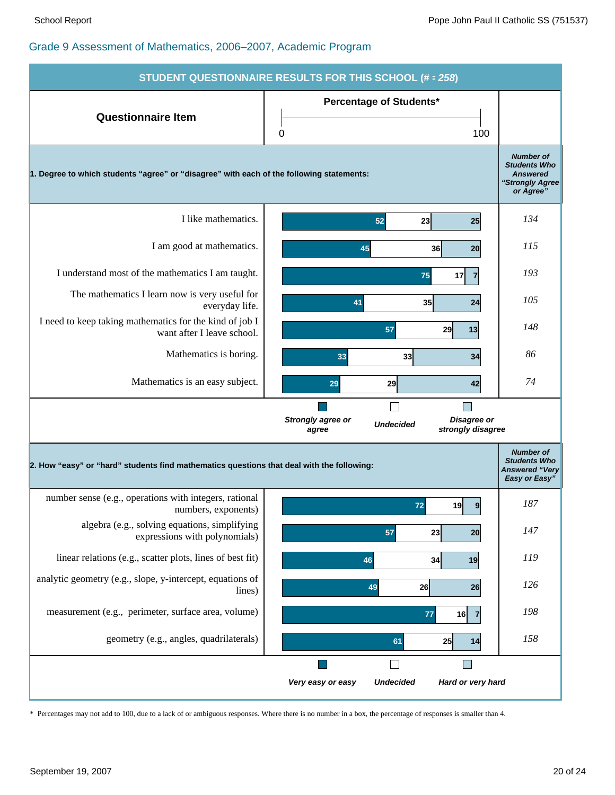

\* Percentages may not add to 100, due to a lack of or ambiguous responses. Where there is no number in a box, the percentage of responses is smaller than 4.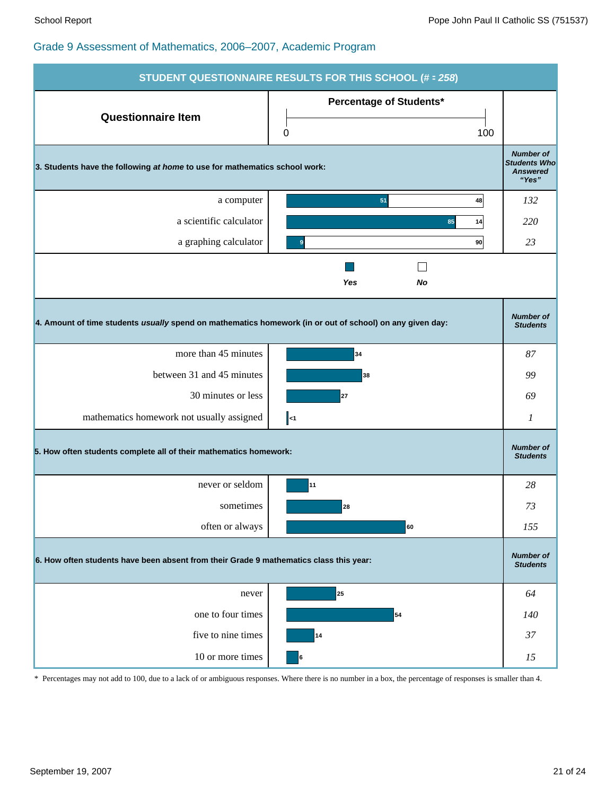| <b>STUDENT QUESTIONNAIRE RESULTS FOR THIS SCHOOL (# = 258)</b>                                           |                                            |                                                                     |  |  |  |
|----------------------------------------------------------------------------------------------------------|--------------------------------------------|---------------------------------------------------------------------|--|--|--|
| <b>Questionnaire Item</b>                                                                                | <b>Percentage of Students*</b><br>100<br>0 |                                                                     |  |  |  |
| 3. Students have the following at home to use for mathematics school work:                               |                                            | <b>Number of</b><br><b>Students Who</b><br><b>Answered</b><br>"Yes" |  |  |  |
| a computer                                                                                               | 51<br>48                                   | 132                                                                 |  |  |  |
| a scientific calculator                                                                                  | 85<br>14                                   | 220                                                                 |  |  |  |
| a graphing calculator                                                                                    | 90<br>9                                    | 23                                                                  |  |  |  |
|                                                                                                          | Yes<br>No                                  |                                                                     |  |  |  |
| 4. Amount of time students usually spend on mathematics homework (in or out of school) on any given day: |                                            | <b>Number of</b><br><b>Students</b>                                 |  |  |  |
| more than 45 minutes                                                                                     | 34                                         | 87                                                                  |  |  |  |
| between 31 and 45 minutes                                                                                | 38                                         | 99                                                                  |  |  |  |
| 30 minutes or less                                                                                       | 27                                         | 69                                                                  |  |  |  |
| mathematics homework not usually assigned                                                                | $\parallel$ <1                             | 1                                                                   |  |  |  |
| 5. How often students complete all of their mathematics homework:                                        |                                            | <b>Number of</b><br><b>Students</b>                                 |  |  |  |
| never or seldom                                                                                          | 11                                         | 28                                                                  |  |  |  |
| sometimes                                                                                                | 28                                         | 73                                                                  |  |  |  |
| often or always                                                                                          | 60                                         | 155                                                                 |  |  |  |
| 6. How often students have been absent from their Grade 9 mathematics class this year:                   |                                            |                                                                     |  |  |  |
| never                                                                                                    | 25                                         | 64                                                                  |  |  |  |
| one to four times                                                                                        | 54                                         | 140                                                                 |  |  |  |
| five to nine times                                                                                       | 14                                         | 37                                                                  |  |  |  |
| 10 or more times                                                                                         | 6                                          | 15                                                                  |  |  |  |

\* Percentages may not add to 100, due to a lack of or ambiguous responses. Where there is no number in a box, the percentage of responses is smaller than 4.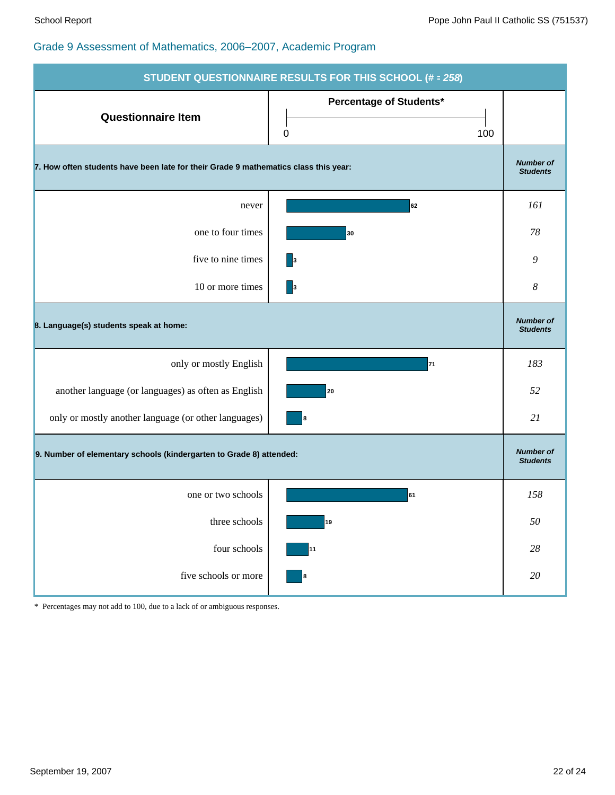| <b>STUDENT QUESTIONNAIRE RESULTS FOR THIS SCHOOL (# = 258)</b>                      |                                     |                                     |  |  |  |
|-------------------------------------------------------------------------------------|-------------------------------------|-------------------------------------|--|--|--|
| <b>Questionnaire Item</b>                                                           | Percentage of Students*<br>0<br>100 |                                     |  |  |  |
| 7. How often students have been late for their Grade 9 mathematics class this year: |                                     |                                     |  |  |  |
| never                                                                               | 62                                  | 161                                 |  |  |  |
| one to four times                                                                   | 30                                  | 78                                  |  |  |  |
| five to nine times                                                                  | $\vert$ 3                           | 9                                   |  |  |  |
| 10 or more times                                                                    | 3                                   | 8                                   |  |  |  |
| 8. Language(s) students speak at home:                                              |                                     | <b>Number of</b><br><b>Students</b> |  |  |  |
| only or mostly English                                                              | 71                                  | 183                                 |  |  |  |
| another language (or languages) as often as English                                 | 20                                  | 52                                  |  |  |  |
| only or mostly another language (or other languages)                                | 8                                   | 21                                  |  |  |  |
| 9. Number of elementary schools (kindergarten to Grade 8) attended:                 |                                     | <b>Number of</b><br><b>Students</b> |  |  |  |
| one or two schools                                                                  | 61                                  | 158                                 |  |  |  |
| three schools                                                                       | 19                                  | $50\,$                              |  |  |  |
| four schools                                                                        | 11                                  | $28\,$                              |  |  |  |
| five schools or more                                                                | 8                                   | $20\,$                              |  |  |  |

\* Percentages may not add to 100, due to a lack of or ambiguous responses.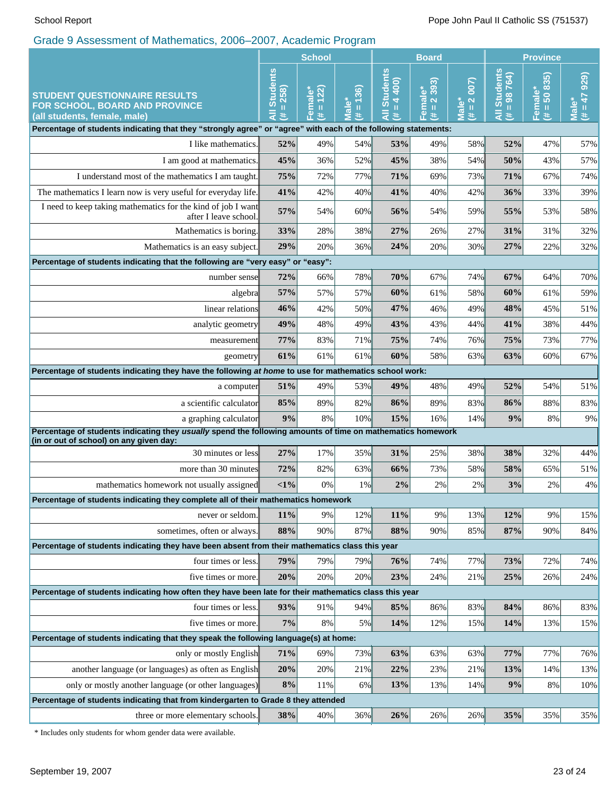|                                                                                                                                                       | <b>School</b>                                      |                                             | <b>Board</b>                         |                                                                      |                                                                 | <b>Province</b>             |                                             |                                                    |                                 |
|-------------------------------------------------------------------------------------------------------------------------------------------------------|----------------------------------------------------|---------------------------------------------|--------------------------------------|----------------------------------------------------------------------|-----------------------------------------------------------------|-----------------------------|---------------------------------------------|----------------------------------------------------|---------------------------------|
| <b>STUDENT QUESTIONNAIRE RESULTS</b><br>FOR SCHOOL, BOARD AND PROVINCE<br>(all students, female, male)                                                | <b>Students</b><br>258)<br>$\mathsf{II}$<br>₹<br>共 | 122)<br>Female <sup>*</sup><br>$\,$ II<br>共 | 136)<br><b>Male*</b><br>$\,$ II<br>井 | <b>Students</b><br>400)<br>$\blacktriangleleft$<br>$\,$ II<br>₹<br>共 | 393)<br>Female*<br>$\overline{\mathbf{N}}$<br>$\mathbf{u}$<br>共 | $# = 2 007$<br><b>Male*</b> | <b>Students</b><br>$= 98764$<br>।<br>द<br>共 | 835)<br>Female*<br>$\overline{50}$<br>$\rm H$<br>£ | $(\pm = 47929)$<br><b>Male*</b> |
| Percentage of students indicating that they "strongly agree" or "agree" with each of the following statements:                                        |                                                    |                                             |                                      |                                                                      |                                                                 |                             |                                             |                                                    |                                 |
| I like mathematics.                                                                                                                                   | 52%                                                | 49%                                         | 54%                                  | 53%                                                                  | 49%                                                             | 58%                         | 52%                                         | 47%                                                | 57%                             |
| I am good at mathematics.                                                                                                                             | 45%                                                | 36%                                         | 52%                                  | 45%                                                                  | 38%                                                             | 54%                         | 50%                                         | 43%                                                | 57%                             |
| I understand most of the mathematics I am taught.                                                                                                     | 75%                                                | 72%                                         | 77%                                  | 71%                                                                  | 69%                                                             | 73%                         | 71%                                         | 67%                                                | 74%                             |
| The mathematics I learn now is very useful for everyday life.                                                                                         | 41%                                                | 42%                                         | 40%                                  | 41%                                                                  | 40%                                                             | 42%                         | 36%                                         | 33%                                                | 39%                             |
| I need to keep taking mathematics for the kind of job I want<br>after I leave school.                                                                 | 57%                                                | 54%                                         | 60%                                  | 56%                                                                  | 54%                                                             | 59%                         | 55%                                         | 53%                                                | 58%                             |
| Mathematics is boring.                                                                                                                                | 33%                                                | 28%                                         | 38%                                  | 27%                                                                  | 26%                                                             | 27%                         | 31%                                         | 31%                                                | 32%                             |
| Mathematics is an easy subject.                                                                                                                       | 29%                                                | 20%                                         | 36%                                  | 24%                                                                  | 20%                                                             | 30%                         | 27%                                         | 22%                                                | 32%                             |
| Percentage of students indicating that the following are "very easy" or "easy":                                                                       |                                                    |                                             |                                      |                                                                      |                                                                 |                             |                                             |                                                    |                                 |
| number sense                                                                                                                                          | 72%                                                | 66%                                         | 78%                                  | 70%                                                                  | 67%                                                             | 74%                         | 67%                                         | 64%                                                | 70%                             |
| algebra                                                                                                                                               | 57%                                                | 57%                                         | 57%                                  | 60%                                                                  | 61%                                                             | 58%                         | 60%                                         | 61%                                                | 59%                             |
| linear relations                                                                                                                                      | 46%                                                | 42%                                         | 50%                                  | 47%                                                                  | 46%                                                             | 49%                         | 48%                                         | 45%                                                | 51%                             |
| analytic geometry                                                                                                                                     |                                                    | 48%                                         | 49%                                  | 43%                                                                  | 43%                                                             | 44%                         | 41%                                         | 38%                                                | 44%                             |
| measurement                                                                                                                                           | 77%                                                | 83%                                         | 71%                                  | 75%                                                                  | 74%                                                             | 76%                         | 75%                                         | 73%                                                | 77%                             |
| geometry                                                                                                                                              | 61%                                                | 61%                                         | 61%                                  | 60%                                                                  | 58%                                                             | 63%                         | 63%                                         | 60%                                                | 67%                             |
| Percentage of students indicating they have the following at home to use for mathematics school work:                                                 |                                                    |                                             |                                      |                                                                      |                                                                 |                             |                                             |                                                    |                                 |
| a computer                                                                                                                                            | 51%                                                | 49%                                         | 53%                                  | 49%                                                                  | 48%                                                             | 49%                         | 52%                                         | 54%                                                | 51%                             |
| a scientific calculator                                                                                                                               | 85%<br>9%                                          | 89%                                         | 82%                                  | 86%                                                                  | 89%                                                             | 83%                         | 86%                                         | 88%                                                | 83%                             |
| a graphing calculator                                                                                                                                 |                                                    | 8%                                          | 10%                                  | 15%                                                                  | 16%                                                             | 14%                         | 9%                                          | 8%                                                 | 9%                              |
| Percentage of students indicating they usually spend the following amounts of time on mathematics homework<br>(in or out of school) on any given day: |                                                    |                                             |                                      |                                                                      |                                                                 |                             |                                             |                                                    |                                 |
| 30 minutes or less                                                                                                                                    | 27%                                                | 17%                                         | 35%                                  | 31%                                                                  | 25%                                                             | 38%                         | 38%                                         | 32%                                                | 44%                             |
| more than 30 minutes                                                                                                                                  |                                                    | 82%                                         | 63%                                  | 66%                                                                  | 73%                                                             | 58%                         | 58%                                         | 65%                                                | 51%                             |
| mathematics homework not usually assigned                                                                                                             |                                                    | 0%                                          | 1%                                   | 2%                                                                   | 2%                                                              | 2%                          | 3%                                          | 2%                                                 | 4%                              |
| Percentage of students indicating they complete all of their mathematics homework                                                                     |                                                    |                                             |                                      |                                                                      |                                                                 |                             |                                             |                                                    |                                 |
| never or seldom.                                                                                                                                      | 11%                                                | 9%                                          | 12%                                  | 11%                                                                  | 9%                                                              | 13%                         | 12%                                         | 9%                                                 | 15%                             |
| sometimes, often or always.                                                                                                                           | 88%                                                | 90%                                         | 87%                                  | 88%                                                                  | 90%                                                             | 85%                         | 87%                                         | 90%                                                | 84%                             |
| Percentage of students indicating they have been absent from their mathematics class this year                                                        |                                                    |                                             |                                      |                                                                      |                                                                 |                             |                                             |                                                    |                                 |
| four times or less.                                                                                                                                   | 79%                                                | 79%                                         | 79%                                  | 76%                                                                  | 74%                                                             | 77%                         | 73%                                         | 72%                                                | 74%                             |
| five times or more.                                                                                                                                   | 20%                                                | 20%                                         | 20%                                  | 23%                                                                  | 24%                                                             | 21%                         | 25%                                         | 26%                                                | 24%                             |
| Percentage of students indicating how often they have been late for their mathematics class this year                                                 |                                                    |                                             |                                      |                                                                      |                                                                 |                             |                                             |                                                    |                                 |
| four times or less.                                                                                                                                   | 93%                                                | 91%                                         | 94%                                  | 85%                                                                  | 86%                                                             | 83%                         | 84%                                         | 86%                                                | 83%                             |
| five times or more.                                                                                                                                   | 7%                                                 | $8\%$                                       | $5\%$                                | 14%                                                                  | 12%                                                             | 15%                         | 14%                                         | 13%                                                | 15%                             |
| Percentage of students indicating that they speak the following language(s) at home:                                                                  |                                                    |                                             |                                      |                                                                      |                                                                 |                             |                                             |                                                    |                                 |
| only or mostly English                                                                                                                                | 71%                                                | 69%                                         | 73%                                  | 63%                                                                  | 63%                                                             | 63%                         | 77%                                         | 77%                                                | 76%                             |
| another language (or languages) as often as English                                                                                                   | 20%                                                | 20%                                         | 21%                                  | 22%                                                                  | 23%                                                             | 21%                         | 13%                                         | 14%                                                | 13%                             |
| only or mostly another language (or other languages)                                                                                                  | 8%                                                 | 11%                                         | 6%                                   | 13%                                                                  | 13%                                                             | 14%                         | 9%                                          | 8%                                                 | 10%                             |
| Percentage of students indicating that from kindergarten to Grade 8 they attended                                                                     |                                                    |                                             |                                      |                                                                      |                                                                 |                             |                                             |                                                    |                                 |
| three or more elementary schools.                                                                                                                     | 38%                                                | 40%                                         | 36%                                  | 26%                                                                  | 26%                                                             | 26%                         | 35%                                         | 35%                                                | 35%                             |

\* Includes only students for whom gender data were available.